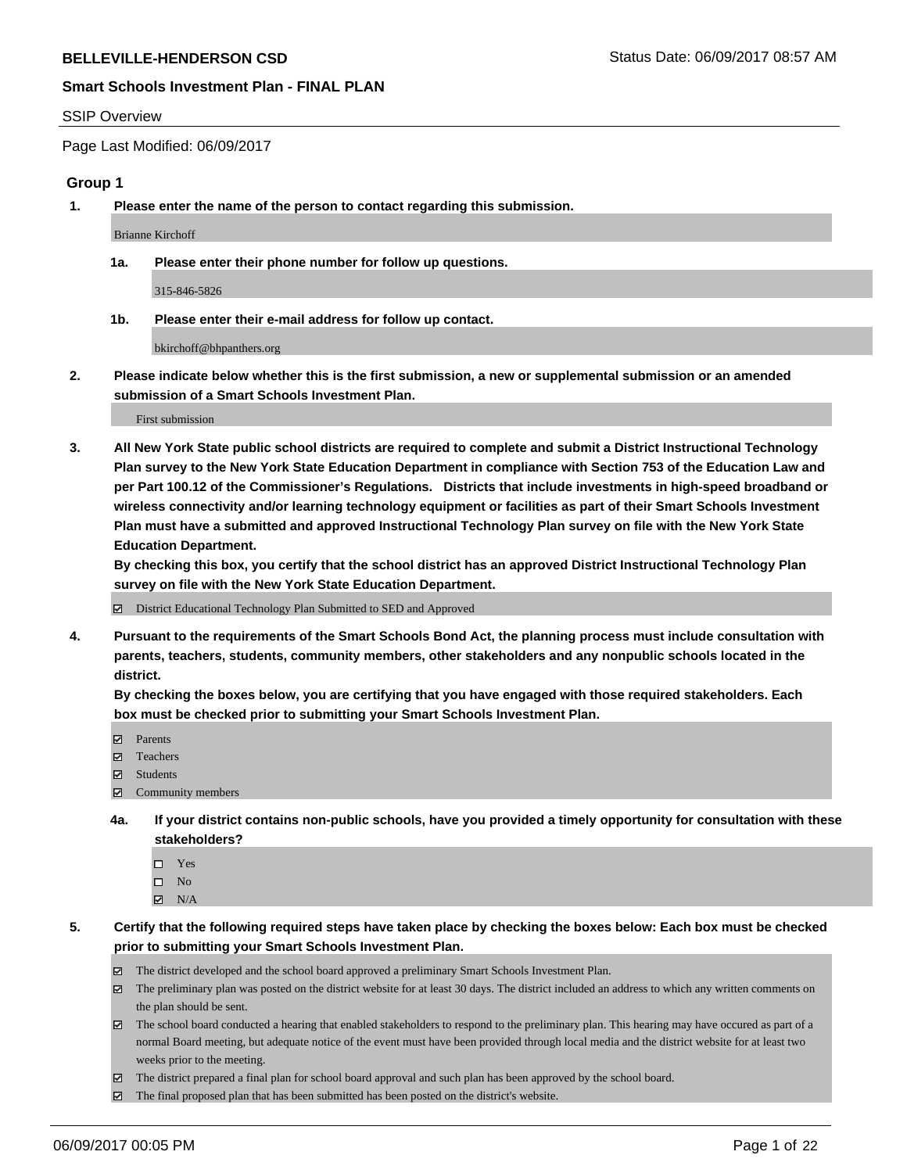#### SSIP Overview

Page Last Modified: 06/09/2017

#### **Group 1**

**1. Please enter the name of the person to contact regarding this submission.**

Brianne Kirchoff

**1a. Please enter their phone number for follow up questions.**

315-846-5826

**1b. Please enter their e-mail address for follow up contact.**

bkirchoff@bhpanthers.org

**2. Please indicate below whether this is the first submission, a new or supplemental submission or an amended submission of a Smart Schools Investment Plan.**

First submission

**3. All New York State public school districts are required to complete and submit a District Instructional Technology Plan survey to the New York State Education Department in compliance with Section 753 of the Education Law and per Part 100.12 of the Commissioner's Regulations. Districts that include investments in high-speed broadband or wireless connectivity and/or learning technology equipment or facilities as part of their Smart Schools Investment Plan must have a submitted and approved Instructional Technology Plan survey on file with the New York State Education Department.** 

**By checking this box, you certify that the school district has an approved District Instructional Technology Plan survey on file with the New York State Education Department.**

District Educational Technology Plan Submitted to SED and Approved

**4. Pursuant to the requirements of the Smart Schools Bond Act, the planning process must include consultation with parents, teachers, students, community members, other stakeholders and any nonpublic schools located in the district.** 

**By checking the boxes below, you are certifying that you have engaged with those required stakeholders. Each box must be checked prior to submitting your Smart Schools Investment Plan.**

- **マ** Parents
- □ Teachers
- Students
- $\Xi$  Community members
- **4a. If your district contains non-public schools, have you provided a timely opportunity for consultation with these stakeholders?**
	- Yes
	- $\hfill \square$  No
	- $\boxtimes$  N/A
- **5. Certify that the following required steps have taken place by checking the boxes below: Each box must be checked prior to submitting your Smart Schools Investment Plan.**
	- The district developed and the school board approved a preliminary Smart Schools Investment Plan.
	- $\boxtimes$  The preliminary plan was posted on the district website for at least 30 days. The district included an address to which any written comments on the plan should be sent.
	- $\boxtimes$  The school board conducted a hearing that enabled stakeholders to respond to the preliminary plan. This hearing may have occured as part of a normal Board meeting, but adequate notice of the event must have been provided through local media and the district website for at least two weeks prior to the meeting.
	- The district prepared a final plan for school board approval and such plan has been approved by the school board.
	- $\boxtimes$  The final proposed plan that has been submitted has been posted on the district's website.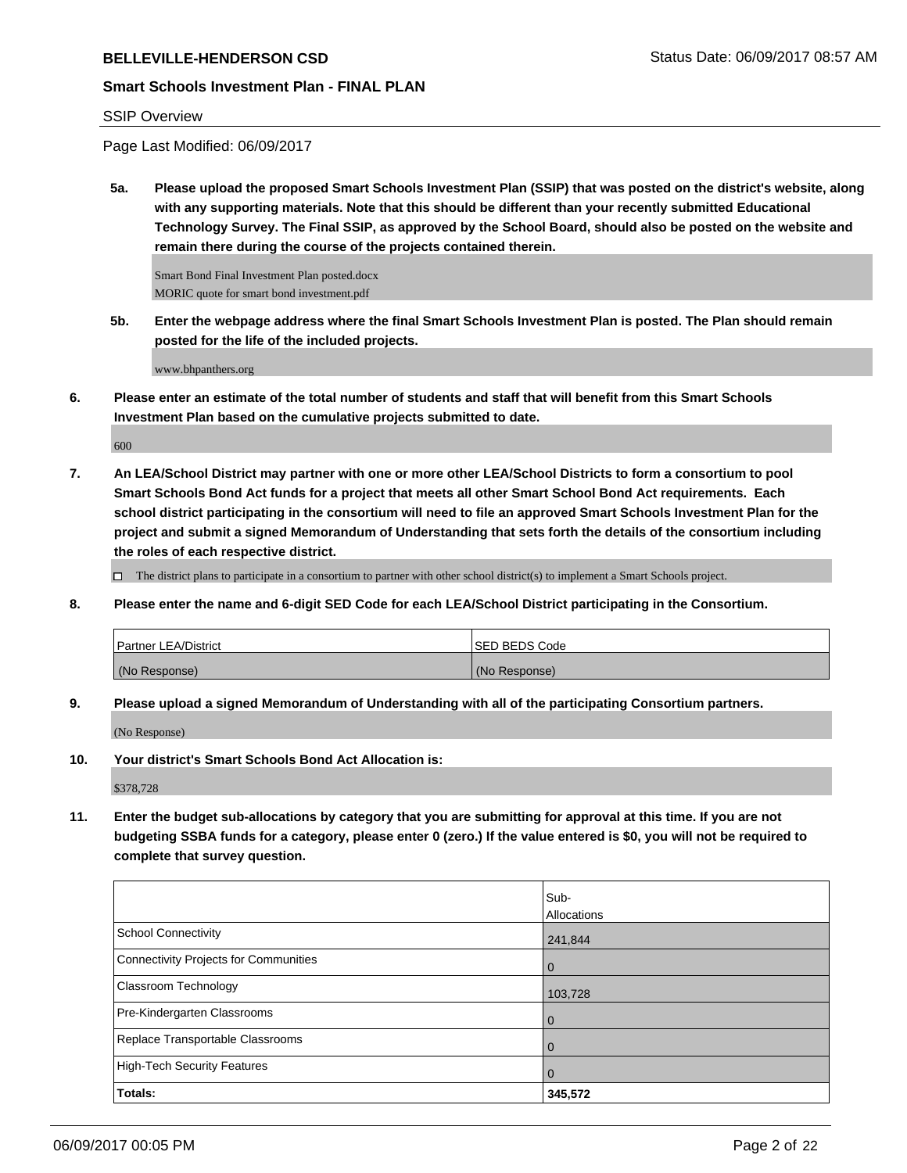#### SSIP Overview

Page Last Modified: 06/09/2017

**5a. Please upload the proposed Smart Schools Investment Plan (SSIP) that was posted on the district's website, along with any supporting materials. Note that this should be different than your recently submitted Educational Technology Survey. The Final SSIP, as approved by the School Board, should also be posted on the website and remain there during the course of the projects contained therein.**

Smart Bond Final Investment Plan posted.docx MORIC quote for smart bond investment.pdf

**5b. Enter the webpage address where the final Smart Schools Investment Plan is posted. The Plan should remain posted for the life of the included projects.**

www.bhpanthers.org

**6. Please enter an estimate of the total number of students and staff that will benefit from this Smart Schools Investment Plan based on the cumulative projects submitted to date.**

600

**7. An LEA/School District may partner with one or more other LEA/School Districts to form a consortium to pool Smart Schools Bond Act funds for a project that meets all other Smart School Bond Act requirements. Each school district participating in the consortium will need to file an approved Smart Schools Investment Plan for the project and submit a signed Memorandum of Understanding that sets forth the details of the consortium including the roles of each respective district.**

 $\Box$  The district plans to participate in a consortium to partner with other school district(s) to implement a Smart Schools project.

**8. Please enter the name and 6-digit SED Code for each LEA/School District participating in the Consortium.**

| <b>Partner LEA/District</b> | <b>ISED BEDS Code</b> |
|-----------------------------|-----------------------|
| (No Response)               | (No Response)         |

**9. Please upload a signed Memorandum of Understanding with all of the participating Consortium partners.**

(No Response)

**10. Your district's Smart Schools Bond Act Allocation is:**

\$378,728

**11. Enter the budget sub-allocations by category that you are submitting for approval at this time. If you are not budgeting SSBA funds for a category, please enter 0 (zero.) If the value entered is \$0, you will not be required to complete that survey question.**

|                                       | Sub-               |
|---------------------------------------|--------------------|
|                                       | <b>Allocations</b> |
| <b>School Connectivity</b>            | 241,844            |
| Connectivity Projects for Communities | $\overline{0}$     |
| <b>Classroom Technology</b>           | 103,728            |
| Pre-Kindergarten Classrooms           | $\overline{0}$     |
| Replace Transportable Classrooms      | $\Omega$           |
| High-Tech Security Features           | $\overline{0}$     |
| <b>Totals:</b>                        | 345,572            |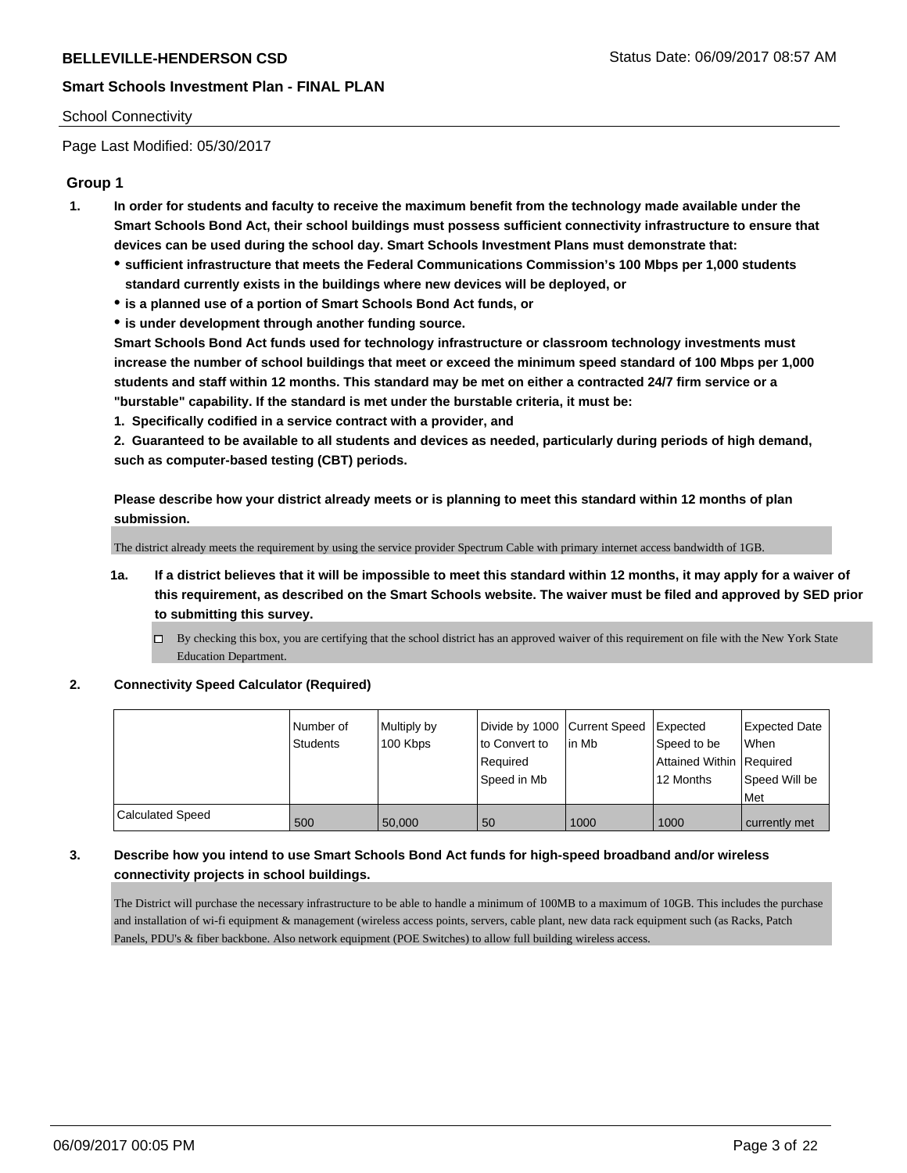#### School Connectivity

Page Last Modified: 05/30/2017

## **Group 1**

- **1. In order for students and faculty to receive the maximum benefit from the technology made available under the Smart Schools Bond Act, their school buildings must possess sufficient connectivity infrastructure to ensure that devices can be used during the school day. Smart Schools Investment Plans must demonstrate that:**
	- **sufficient infrastructure that meets the Federal Communications Commission's 100 Mbps per 1,000 students standard currently exists in the buildings where new devices will be deployed, or**
	- **is a planned use of a portion of Smart Schools Bond Act funds, or**
	- **is under development through another funding source.**

**Smart Schools Bond Act funds used for technology infrastructure or classroom technology investments must increase the number of school buildings that meet or exceed the minimum speed standard of 100 Mbps per 1,000 students and staff within 12 months. This standard may be met on either a contracted 24/7 firm service or a "burstable" capability. If the standard is met under the burstable criteria, it must be:**

**1. Specifically codified in a service contract with a provider, and**

**2. Guaranteed to be available to all students and devices as needed, particularly during periods of high demand, such as computer-based testing (CBT) periods.**

**Please describe how your district already meets or is planning to meet this standard within 12 months of plan submission.**

The district already meets the requirement by using the service provider Spectrum Cable with primary internet access bandwidth of 1GB.

- **1a. If a district believes that it will be impossible to meet this standard within 12 months, it may apply for a waiver of this requirement, as described on the Smart Schools website. The waiver must be filed and approved by SED prior to submitting this survey.**
	- By checking this box, you are certifying that the school district has an approved waiver of this requirement on file with the New York State Education Department.

#### **2. Connectivity Speed Calculator (Required)**

|                         | I Number of<br><b>Students</b> | Multiply by<br>100 Kbps | Divide by 1000 Current Speed<br>to Convert to<br>Required<br>Speed in Mb | lin Mb | Expected<br>Speed to be<br>Attained Within Required<br>12 Months | <b>Expected Date</b><br><b>When</b><br>Speed Will be<br><b>Met</b> |
|-------------------------|--------------------------------|-------------------------|--------------------------------------------------------------------------|--------|------------------------------------------------------------------|--------------------------------------------------------------------|
| <b>Calculated Speed</b> | 500                            | 50,000                  | 50                                                                       | 1000   | 1000                                                             | currently met                                                      |

## **3. Describe how you intend to use Smart Schools Bond Act funds for high-speed broadband and/or wireless connectivity projects in school buildings.**

The District will purchase the necessary infrastructure to be able to handle a minimum of 100MB to a maximum of 10GB. This includes the purchase and installation of wi-fi equipment & management (wireless access points, servers, cable plant, new data rack equipment such (as Racks, Patch Panels, PDU's & fiber backbone. Also network equipment (POE Switches) to allow full building wireless access.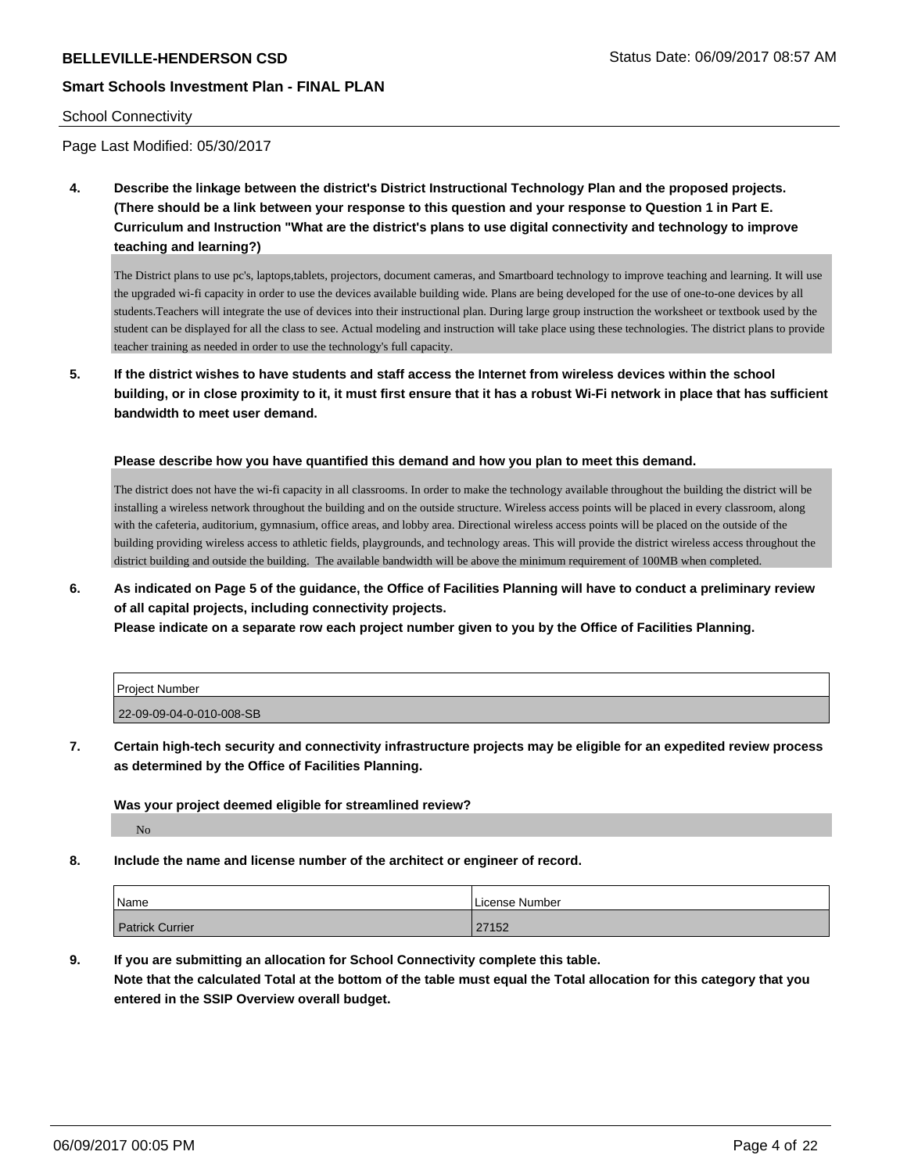#### School Connectivity

Page Last Modified: 05/30/2017

**4. Describe the linkage between the district's District Instructional Technology Plan and the proposed projects. (There should be a link between your response to this question and your response to Question 1 in Part E. Curriculum and Instruction "What are the district's plans to use digital connectivity and technology to improve teaching and learning?)**

The District plans to use pc's, laptops,tablets, projectors, document cameras, and Smartboard technology to improve teaching and learning. It will use the upgraded wi-fi capacity in order to use the devices available building wide. Plans are being developed for the use of one-to-one devices by all students.Teachers will integrate the use of devices into their instructional plan. During large group instruction the worksheet or textbook used by the student can be displayed for all the class to see. Actual modeling and instruction will take place using these technologies. The district plans to provide teacher training as needed in order to use the technology's full capacity.

**5. If the district wishes to have students and staff access the Internet from wireless devices within the school building, or in close proximity to it, it must first ensure that it has a robust Wi-Fi network in place that has sufficient bandwidth to meet user demand.**

**Please describe how you have quantified this demand and how you plan to meet this demand.**

The district does not have the wi-fi capacity in all classrooms. In order to make the technology available throughout the building the district will be installing a wireless network throughout the building and on the outside structure. Wireless access points will be placed in every classroom, along with the cafeteria, auditorium, gymnasium, office areas, and lobby area. Directional wireless access points will be placed on the outside of the building providing wireless access to athletic fields, playgrounds, and technology areas. This will provide the district wireless access throughout the district building and outside the building. The available bandwidth will be above the minimum requirement of 100MB when completed.

**6. As indicated on Page 5 of the guidance, the Office of Facilities Planning will have to conduct a preliminary review of all capital projects, including connectivity projects.**

**Please indicate on a separate row each project number given to you by the Office of Facilities Planning.**

| <b>Project Number</b>    |  |
|--------------------------|--|
| 22-09-09-04-0-010-008-SB |  |

**7. Certain high-tech security and connectivity infrastructure projects may be eligible for an expedited review process as determined by the Office of Facilities Planning.**

**Was your project deemed eligible for streamlined review?**

No

**8. Include the name and license number of the architect or engineer of record.**

| Name                   | License Number |
|------------------------|----------------|
| <b>Patrick Currier</b> | 27152          |

**9. If you are submitting an allocation for School Connectivity complete this table. Note that the calculated Total at the bottom of the table must equal the Total allocation for this category that you entered in the SSIP Overview overall budget.**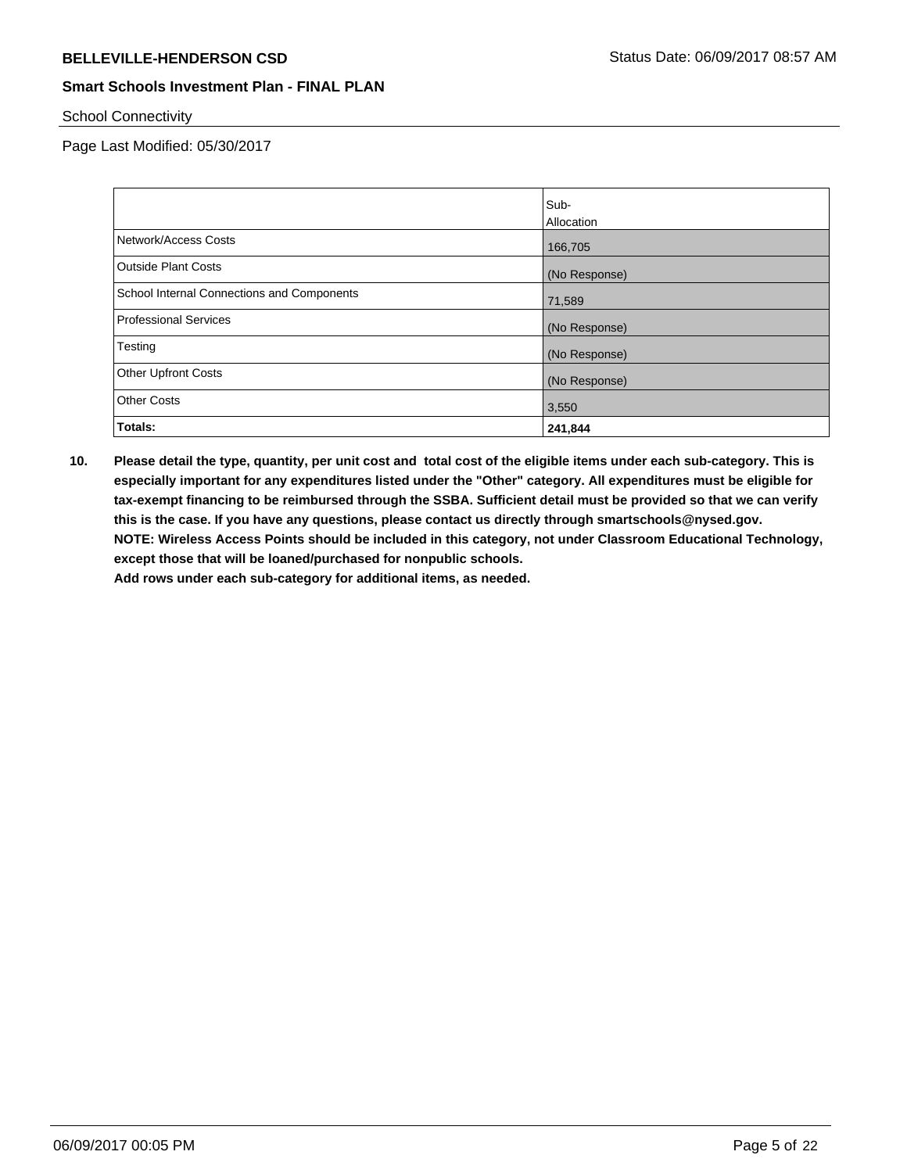## School Connectivity

Page Last Modified: 05/30/2017

|                                            | Sub-          |
|--------------------------------------------|---------------|
|                                            | Allocation    |
| Network/Access Costs                       | 166,705       |
| <b>Outside Plant Costs</b>                 | (No Response) |
| School Internal Connections and Components | 71,589        |
| <b>Professional Services</b>               | (No Response) |
| Testing                                    | (No Response) |
| <b>Other Upfront Costs</b>                 | (No Response) |
| <b>Other Costs</b>                         | 3,550         |
| Totals:                                    | 241,844       |

**10. Please detail the type, quantity, per unit cost and total cost of the eligible items under each sub-category. This is especially important for any expenditures listed under the "Other" category. All expenditures must be eligible for tax-exempt financing to be reimbursed through the SSBA. Sufficient detail must be provided so that we can verify this is the case. If you have any questions, please contact us directly through smartschools@nysed.gov. NOTE: Wireless Access Points should be included in this category, not under Classroom Educational Technology, except those that will be loaned/purchased for nonpublic schools.**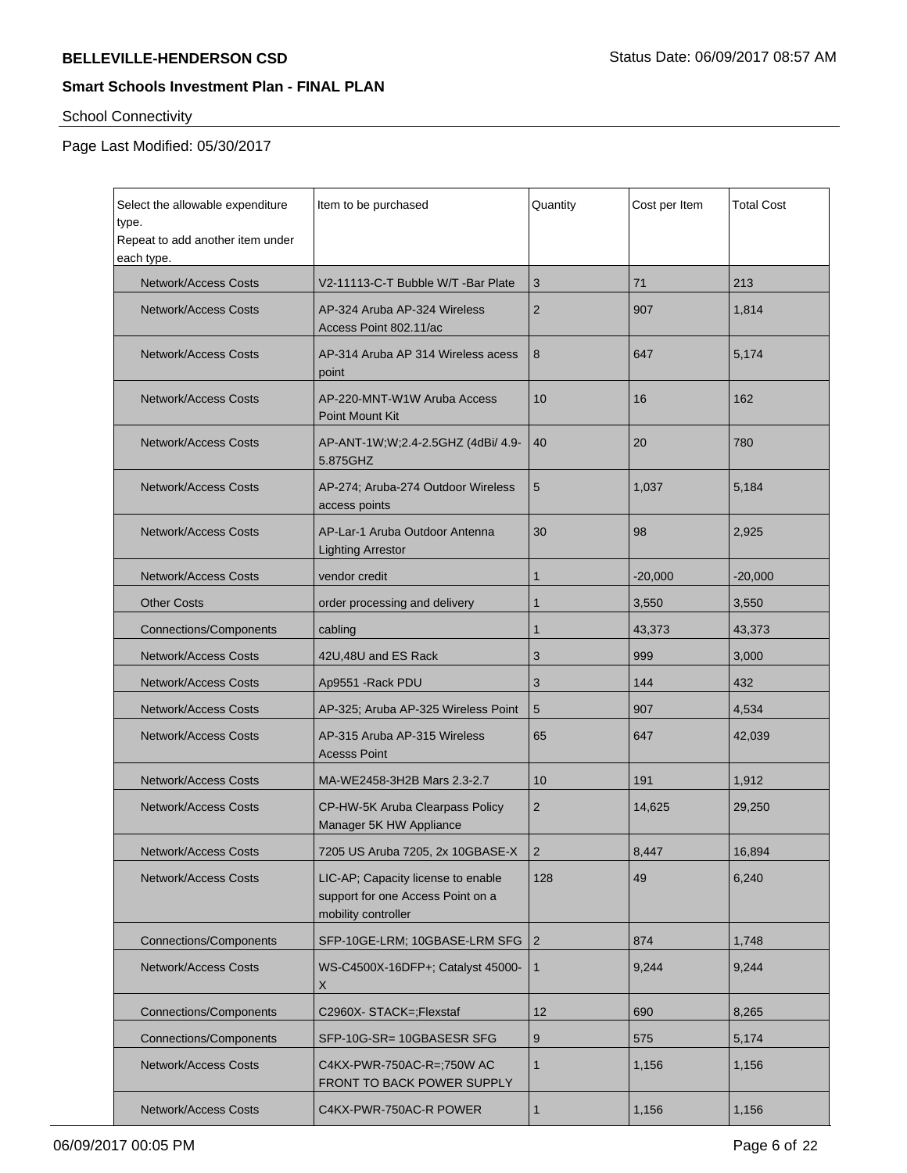# School Connectivity

Page Last Modified: 05/30/2017

| Select the allowable expenditure<br>type.<br>Repeat to add another item under<br>each type. | Item to be purchased                                                                           | Quantity       | Cost per Item | <b>Total Cost</b> |
|---------------------------------------------------------------------------------------------|------------------------------------------------------------------------------------------------|----------------|---------------|-------------------|
| <b>Network/Access Costs</b>                                                                 | V2-11113-C-T Bubble W/T - Bar Plate                                                            | 3              | 71            | 213               |
| <b>Network/Access Costs</b>                                                                 | AP-324 Aruba AP-324 Wireless<br>Access Point 802.11/ac                                         | 2              | 907           | 1,814             |
| <b>Network/Access Costs</b>                                                                 | AP-314 Aruba AP 314 Wireless acess<br>point                                                    | 8              | 647           | 5,174             |
| <b>Network/Access Costs</b>                                                                 | AP-220-MNT-W1W Aruba Access<br>Point Mount Kit                                                 | 10             | 16            | 162               |
| <b>Network/Access Costs</b>                                                                 | AP-ANT-1W;W;2.4-2.5GHZ (4dBi/ 4.9-<br>5.875GHZ                                                 | 40             | 20            | 780               |
| <b>Network/Access Costs</b>                                                                 | AP-274; Aruba-274 Outdoor Wireless<br>access points                                            | 5              | 1,037         | 5,184             |
| <b>Network/Access Costs</b>                                                                 | AP-Lar-1 Aruba Outdoor Antenna<br>30<br><b>Lighting Arrestor</b>                               |                | 98            | 2,925             |
| <b>Network/Access Costs</b>                                                                 | vendor credit                                                                                  | 1              | $-20,000$     | $-20,000$         |
| <b>Other Costs</b>                                                                          | order processing and delivery                                                                  | 1              | 3,550         | 3,550             |
| <b>Connections/Components</b>                                                               | cabling                                                                                        | 1              | 43,373        | 43,373            |
| <b>Network/Access Costs</b>                                                                 | 42U,48U and ES Rack                                                                            | 3              | 999           | 3,000             |
| <b>Network/Access Costs</b>                                                                 | Ap9551 - Rack PDU                                                                              | 3              | 144           | 432               |
| <b>Network/Access Costs</b>                                                                 | AP-325; Aruba AP-325 Wireless Point                                                            | 5              | 907           | 4,534             |
| <b>Network/Access Costs</b>                                                                 | AP-315 Aruba AP-315 Wireless<br><b>Acesss Point</b>                                            | 65             | 647           | 42,039            |
| <b>Network/Access Costs</b>                                                                 | MA-WE2458-3H2B Mars 2.3-2.7                                                                    | 10             | 191           | 1,912             |
| <b>Network/Access Costs</b>                                                                 | CP-HW-5K Aruba Clearpass Policy<br>Manager 5K HW Appliance                                     | $\overline{c}$ | 14,625        | 29,250            |
| Network/Access Costs                                                                        | 7205 US Aruba 7205, 2x 10GBASE-X                                                               | 2              | 8,447         | 16.894            |
| <b>Network/Access Costs</b>                                                                 | LIC-AP; Capacity license to enable<br>support for one Access Point on a<br>mobility controller |                | 49            | 6,240             |
| <b>Connections/Components</b>                                                               | SFP-10GE-LRM; 10GBASE-LRM SFG                                                                  | $\overline{2}$ | 874           | 1,748             |
| <b>Network/Access Costs</b>                                                                 | WS-C4500X-16DFP+; Catalyst 45000-<br>X                                                         | $\mathbf{1}$   | 9,244         | 9,244             |
| <b>Connections/Components</b>                                                               | C2960X-STACK=;Flexstaf                                                                         | 12             | 690           | 8,265             |
| <b>Connections/Components</b>                                                               | SFP-10G-SR= 10GBASESR SFG                                                                      | 9              | 575           | 5,174             |
| Network/Access Costs                                                                        | C4KX-PWR-750AC-R=;750W AC<br>FRONT TO BACK POWER SUPPLY                                        | 1              | 1,156         | 1,156             |
| Network/Access Costs                                                                        | C4KX-PWR-750AC-R POWER                                                                         | 1              | 1,156         | 1,156             |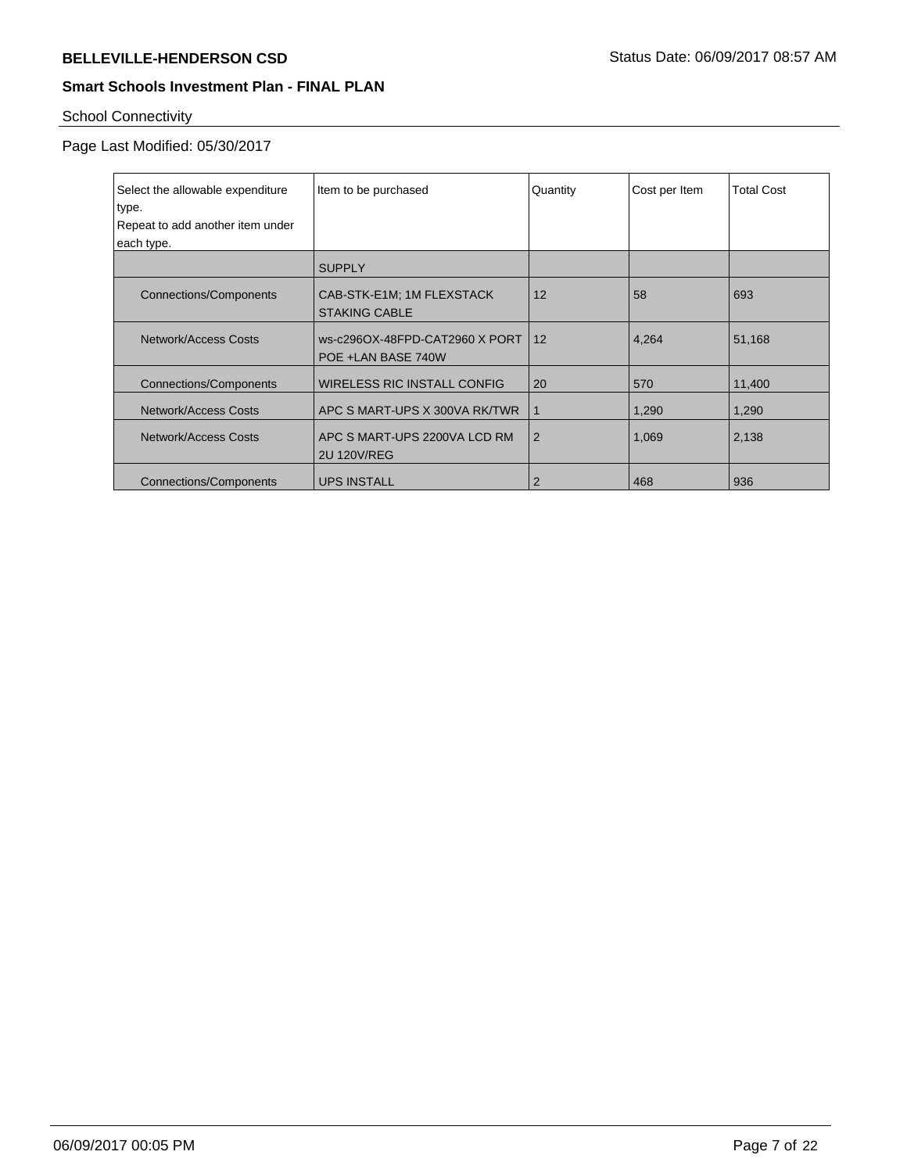# School Connectivity

Page Last Modified: 05/30/2017

| Select the allowable expenditure<br>type. | Item to be purchased                                 | Quantity       | Cost per Item | <b>Total Cost</b> |
|-------------------------------------------|------------------------------------------------------|----------------|---------------|-------------------|
| Repeat to add another item under          |                                                      |                |               |                   |
| each type.                                |                                                      |                |               |                   |
|                                           | <b>SUPPLY</b>                                        |                |               |                   |
| <b>Connections/Components</b>             | CAB-STK-E1M; 1M FLEXSTACK<br><b>STAKING CABLE</b>    | 12             | 58            | 693               |
| Network/Access Costs                      | ws-c296OX-48FPD-CAT2960 X PORT<br>POE +LAN BASE 740W | 12             | 4,264         | 51,168            |
| <b>Connections/Components</b>             | <b>WIRELESS RIC INSTALL CONFIG</b>                   | 20             | 570           | 11,400            |
| Network/Access Costs                      | APC S MART-UPS X 300VA RK/TWR                        | $\mathbf{1}$   | 1,290         | 1,290             |
| Network/Access Costs                      | APC S MART-UPS 2200VA LCD RM<br><b>2U 120V/REG</b>   | $\overline{2}$ | 1,069         | 2,138             |
| <b>Connections/Components</b>             | <b>UPS INSTALL</b>                                   | 2              | 468           | 936               |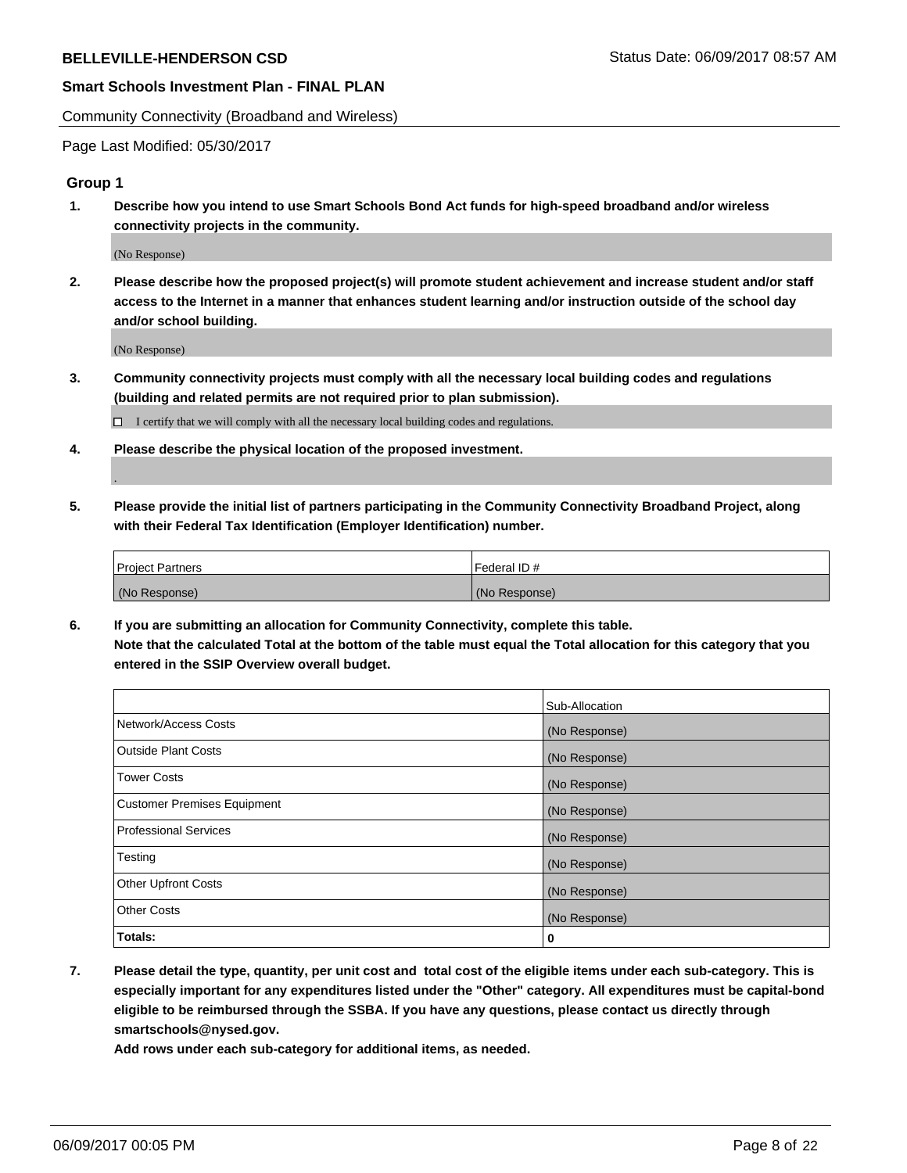Community Connectivity (Broadband and Wireless)

Page Last Modified: 05/30/2017

#### **Group 1**

**1. Describe how you intend to use Smart Schools Bond Act funds for high-speed broadband and/or wireless connectivity projects in the community.**

(No Response)

**2. Please describe how the proposed project(s) will promote student achievement and increase student and/or staff access to the Internet in a manner that enhances student learning and/or instruction outside of the school day and/or school building.**

(No Response)

.

**3. Community connectivity projects must comply with all the necessary local building codes and regulations (building and related permits are not required prior to plan submission).**

 $\Box$  I certify that we will comply with all the necessary local building codes and regulations.

- **4. Please describe the physical location of the proposed investment.**
- **5. Please provide the initial list of partners participating in the Community Connectivity Broadband Project, along with their Federal Tax Identification (Employer Identification) number.**

| <b>Project Partners</b> | Federal ID#   |
|-------------------------|---------------|
| (No Response)           | (No Response) |

**6. If you are submitting an allocation for Community Connectivity, complete this table. Note that the calculated Total at the bottom of the table must equal the Total allocation for this category that you entered in the SSIP Overview overall budget.**

|                                    | Sub-Allocation |
|------------------------------------|----------------|
| Network/Access Costs               | (No Response)  |
| Outside Plant Costs                | (No Response)  |
| <b>Tower Costs</b>                 | (No Response)  |
| <b>Customer Premises Equipment</b> | (No Response)  |
| <b>Professional Services</b>       | (No Response)  |
| Testing                            | (No Response)  |
| <b>Other Upfront Costs</b>         | (No Response)  |
| <b>Other Costs</b>                 | (No Response)  |
| Totals:                            | 0              |

**7. Please detail the type, quantity, per unit cost and total cost of the eligible items under each sub-category. This is especially important for any expenditures listed under the "Other" category. All expenditures must be capital-bond eligible to be reimbursed through the SSBA. If you have any questions, please contact us directly through smartschools@nysed.gov.**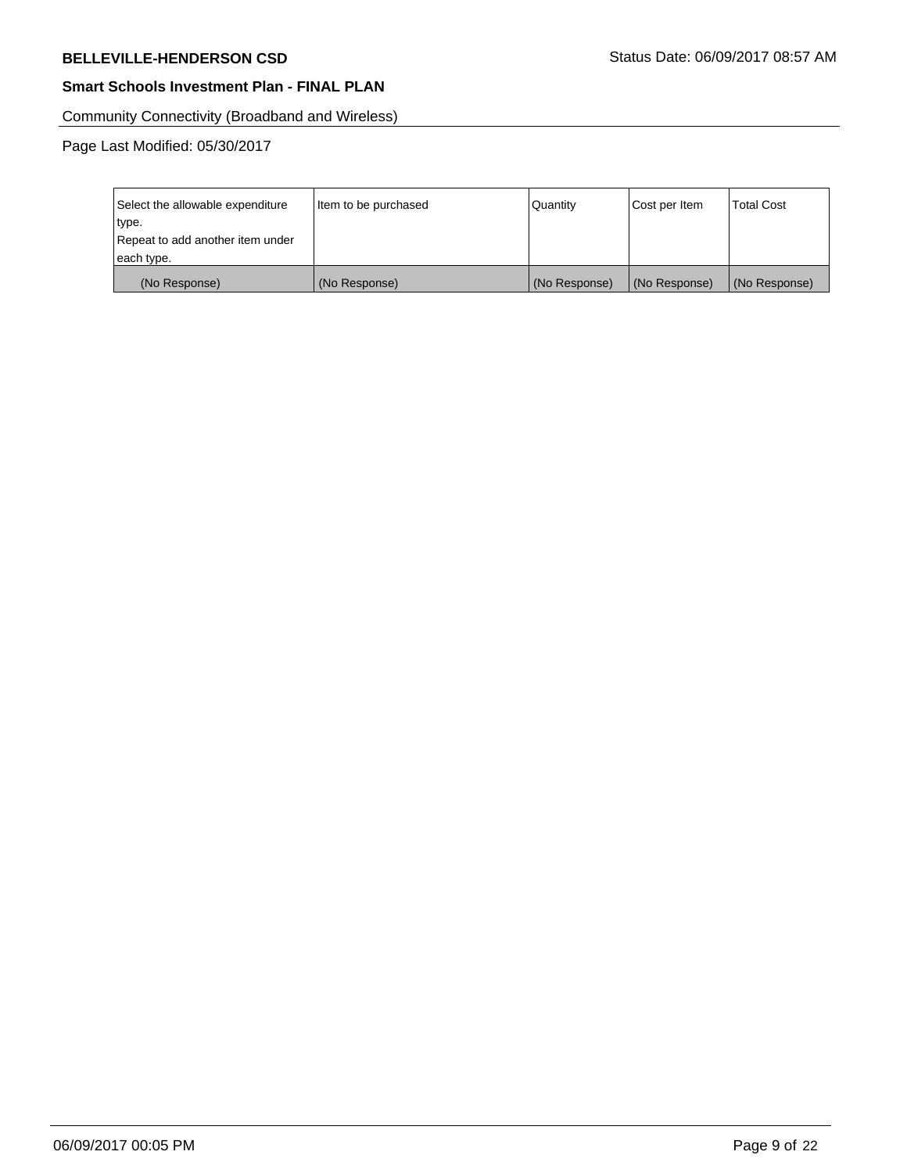# **BELLEVILLE-HENDERSON CSD** Status Date: 06/09/2017 08:57 AM

# **Smart Schools Investment Plan - FINAL PLAN**

Community Connectivity (Broadband and Wireless)

Page Last Modified: 05/30/2017

| Select the allowable expenditure | Item to be purchased | Quantity      | Cost per Item | <b>Total Cost</b> |
|----------------------------------|----------------------|---------------|---------------|-------------------|
| type.                            |                      |               |               |                   |
| Repeat to add another item under |                      |               |               |                   |
| each type.                       |                      |               |               |                   |
| (No Response)                    | (No Response)        | (No Response) | (No Response) | (No Response)     |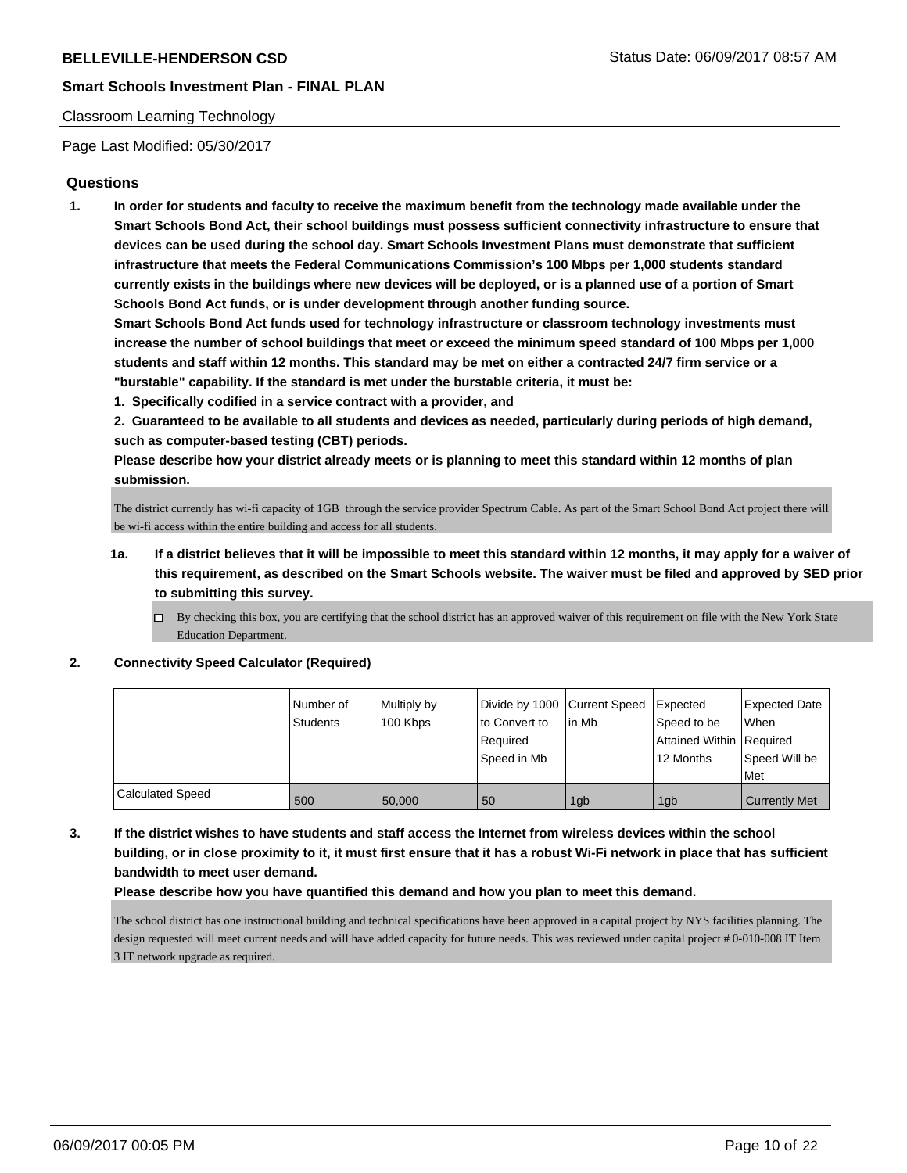#### Classroom Learning Technology

Page Last Modified: 05/30/2017

### **Questions**

**1. In order for students and faculty to receive the maximum benefit from the technology made available under the Smart Schools Bond Act, their school buildings must possess sufficient connectivity infrastructure to ensure that devices can be used during the school day. Smart Schools Investment Plans must demonstrate that sufficient infrastructure that meets the Federal Communications Commission's 100 Mbps per 1,000 students standard currently exists in the buildings where new devices will be deployed, or is a planned use of a portion of Smart Schools Bond Act funds, or is under development through another funding source.**

**Smart Schools Bond Act funds used for technology infrastructure or classroom technology investments must increase the number of school buildings that meet or exceed the minimum speed standard of 100 Mbps per 1,000 students and staff within 12 months. This standard may be met on either a contracted 24/7 firm service or a "burstable" capability. If the standard is met under the burstable criteria, it must be:**

**1. Specifically codified in a service contract with a provider, and**

**2. Guaranteed to be available to all students and devices as needed, particularly during periods of high demand, such as computer-based testing (CBT) periods.**

**Please describe how your district already meets or is planning to meet this standard within 12 months of plan submission.**

The district currently has wi-fi capacity of 1GB through the service provider Spectrum Cable. As part of the Smart School Bond Act project there will be wi-fi access within the entire building and access for all students.

- **1a. If a district believes that it will be impossible to meet this standard within 12 months, it may apply for a waiver of this requirement, as described on the Smart Schools website. The waiver must be filed and approved by SED prior to submitting this survey.**
	- $\Box$  By checking this box, you are certifying that the school district has an approved waiver of this requirement on file with the New York State Education Department.

#### **2. Connectivity Speed Calculator (Required)**

|                         | l Number of<br><b>Students</b> | Multiply by<br>100 Kbps | to Convert to           | Divide by 1000 Current Speed Expected<br>lin Mb | Speed to be                           | Expected Date<br>When |
|-------------------------|--------------------------------|-------------------------|-------------------------|-------------------------------------------------|---------------------------------------|-----------------------|
|                         |                                |                         | Required<br>Speed in Mb |                                                 | Attained Within Required<br>12 Months | Speed Will be<br>Met  |
| <b>Calculated Speed</b> | 500                            | 50,000                  | 50                      | 1gb                                             | 1gb                                   | <b>Currently Met</b>  |

**3. If the district wishes to have students and staff access the Internet from wireless devices within the school building, or in close proximity to it, it must first ensure that it has a robust Wi-Fi network in place that has sufficient bandwidth to meet user demand.**

#### **Please describe how you have quantified this demand and how you plan to meet this demand.**

The school district has one instructional building and technical specifications have been approved in a capital project by NYS facilities planning. The design requested will meet current needs and will have added capacity for future needs. This was reviewed under capital project # 0-010-008 IT Item 3 IT network upgrade as required.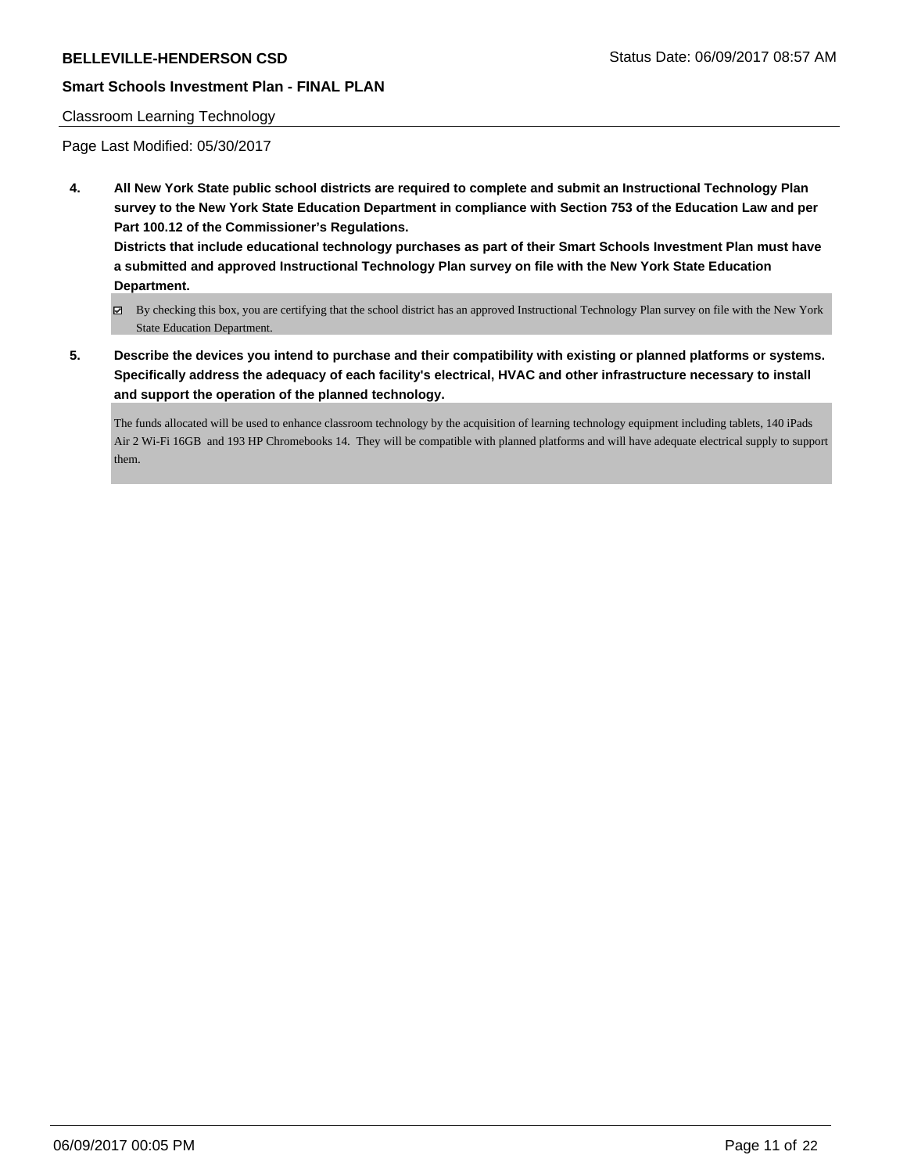# **BELLEVILLE-HENDERSON CSD** Status Date: 06/09/2017 08:57 AM

# **Smart Schools Investment Plan - FINAL PLAN**

#### Classroom Learning Technology

Page Last Modified: 05/30/2017

**4. All New York State public school districts are required to complete and submit an Instructional Technology Plan survey to the New York State Education Department in compliance with Section 753 of the Education Law and per Part 100.12 of the Commissioner's Regulations.**

**Districts that include educational technology purchases as part of their Smart Schools Investment Plan must have a submitted and approved Instructional Technology Plan survey on file with the New York State Education Department.**

- By checking this box, you are certifying that the school district has an approved Instructional Technology Plan survey on file with the New York State Education Department.
- **5. Describe the devices you intend to purchase and their compatibility with existing or planned platforms or systems. Specifically address the adequacy of each facility's electrical, HVAC and other infrastructure necessary to install and support the operation of the planned technology.**

The funds allocated will be used to enhance classroom technology by the acquisition of learning technology equipment including tablets, 140 iPads Air 2 Wi-Fi 16GB and 193 HP Chromebooks 14. They will be compatible with planned platforms and will have adequate electrical supply to support them.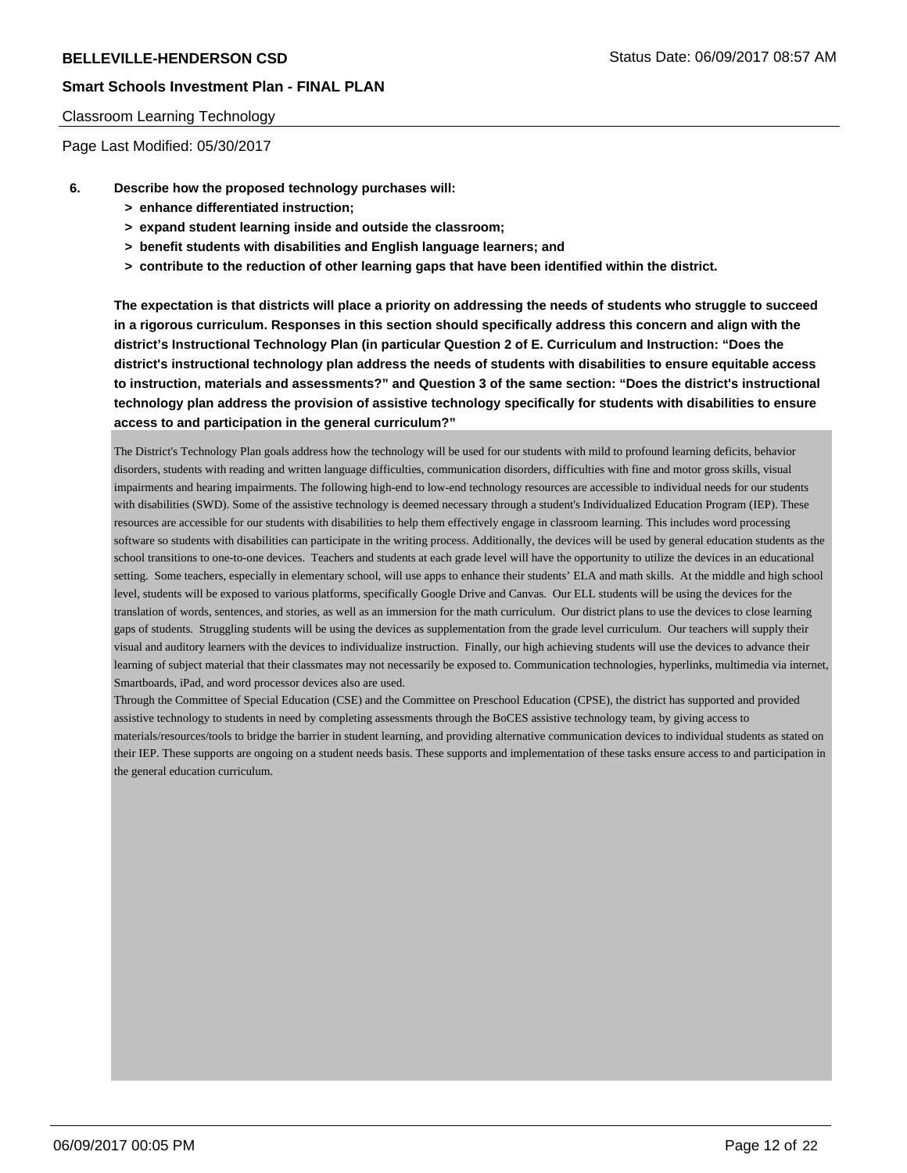#### Classroom Learning Technology

Page Last Modified: 05/30/2017

- **6. Describe how the proposed technology purchases will:**
	- **> enhance differentiated instruction;**
	- **> expand student learning inside and outside the classroom;**
	- **> benefit students with disabilities and English language learners; and**
	- **> contribute to the reduction of other learning gaps that have been identified within the district.**

**The expectation is that districts will place a priority on addressing the needs of students who struggle to succeed in a rigorous curriculum. Responses in this section should specifically address this concern and align with the district's Instructional Technology Plan (in particular Question 2 of E. Curriculum and Instruction: "Does the district's instructional technology plan address the needs of students with disabilities to ensure equitable access to instruction, materials and assessments?" and Question 3 of the same section: "Does the district's instructional technology plan address the provision of assistive technology specifically for students with disabilities to ensure access to and participation in the general curriculum?"**

The District's Technology Plan goals address how the technology will be used for our students with mild to profound learning deficits, behavior disorders, students with reading and written language difficulties, communication disorders, difficulties with fine and motor gross skills, visual impairments and hearing impairments. The following high-end to low-end technology resources are accessible to individual needs for our students with disabilities (SWD). Some of the assistive technology is deemed necessary through a student's Individualized Education Program (IEP). These resources are accessible for our students with disabilities to help them effectively engage in classroom learning. This includes word processing software so students with disabilities can participate in the writing process. Additionally, the devices will be used by general education students as the school transitions to one-to-one devices. Teachers and students at each grade level will have the opportunity to utilize the devices in an educational setting. Some teachers, especially in elementary school, will use apps to enhance their students' ELA and math skills. At the middle and high school level, students will be exposed to various platforms, specifically Google Drive and Canvas. Our ELL students will be using the devices for the translation of words, sentences, and stories, as well as an immersion for the math curriculum. Our district plans to use the devices to close learning gaps of students. Struggling students will be using the devices as supplementation from the grade level curriculum. Our teachers will supply their visual and auditory learners with the devices to individualize instruction. Finally, our high achieving students will use the devices to advance their learning of subject material that their classmates may not necessarily be exposed to. Communication technologies, hyperlinks, multimedia via internet, Smartboards, iPad, and word processor devices also are used.

Through the Committee of Special Education (CSE) and the Committee on Preschool Education (CPSE), the district has supported and provided assistive technology to students in need by completing assessments through the BoCES assistive technology team, by giving access to materials/resources/tools to bridge the barrier in student learning, and providing alternative communication devices to individual students as stated on their IEP. These supports are ongoing on a student needs basis. These supports and implementation of these tasks ensure access to and participation in the general education curriculum.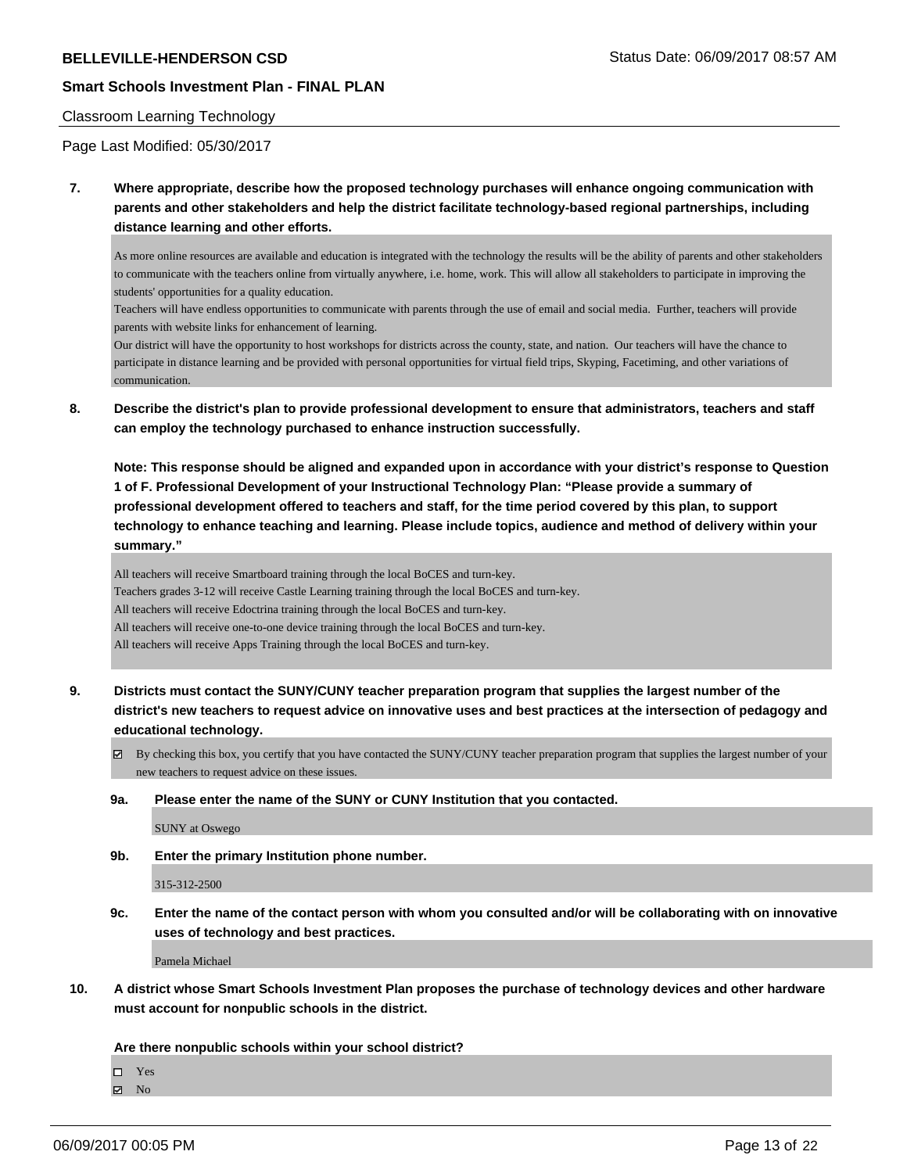#### Classroom Learning Technology

Page Last Modified: 05/30/2017

**7. Where appropriate, describe how the proposed technology purchases will enhance ongoing communication with parents and other stakeholders and help the district facilitate technology-based regional partnerships, including distance learning and other efforts.**

As more online resources are available and education is integrated with the technology the results will be the ability of parents and other stakeholders to communicate with the teachers online from virtually anywhere, i.e. home, work. This will allow all stakeholders to participate in improving the students' opportunities for a quality education.

Teachers will have endless opportunities to communicate with parents through the use of email and social media. Further, teachers will provide parents with website links for enhancement of learning.

Our district will have the opportunity to host workshops for districts across the county, state, and nation. Our teachers will have the chance to participate in distance learning and be provided with personal opportunities for virtual field trips, Skyping, Facetiming, and other variations of communication.

**8. Describe the district's plan to provide professional development to ensure that administrators, teachers and staff can employ the technology purchased to enhance instruction successfully.**

**Note: This response should be aligned and expanded upon in accordance with your district's response to Question 1 of F. Professional Development of your Instructional Technology Plan: "Please provide a summary of professional development offered to teachers and staff, for the time period covered by this plan, to support technology to enhance teaching and learning. Please include topics, audience and method of delivery within your summary."**

All teachers will receive Smartboard training through the local BoCES and turn-key.

Teachers grades 3-12 will receive Castle Learning training through the local BoCES and turn-key.

All teachers will receive Edoctrina training through the local BoCES and turn-key.

All teachers will receive one-to-one device training through the local BoCES and turn-key.

All teachers will receive Apps Training through the local BoCES and turn-key.

- **9. Districts must contact the SUNY/CUNY teacher preparation program that supplies the largest number of the district's new teachers to request advice on innovative uses and best practices at the intersection of pedagogy and educational technology.**
	- $\boxtimes$  By checking this box, you certify that you have contacted the SUNY/CUNY teacher preparation program that supplies the largest number of your new teachers to request advice on these issues.
	- **9a. Please enter the name of the SUNY or CUNY Institution that you contacted.**

SUNY at Oswego

**9b. Enter the primary Institution phone number.**

315-312-2500

**9c. Enter the name of the contact person with whom you consulted and/or will be collaborating with on innovative uses of technology and best practices.**

Pamela Michael

**10. A district whose Smart Schools Investment Plan proposes the purchase of technology devices and other hardware must account for nonpublic schools in the district.**

**Are there nonpublic schools within your school district?**

□ Yes

**Ø** No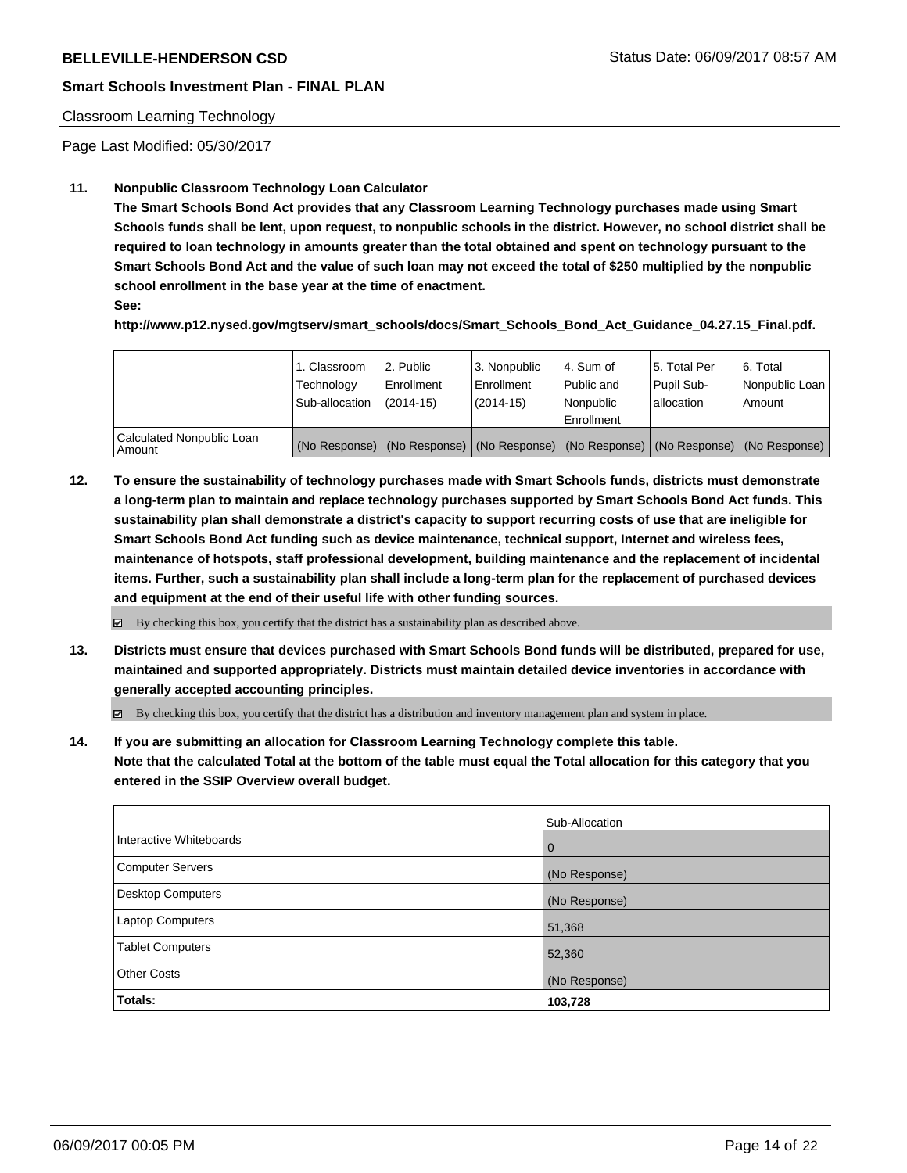#### Classroom Learning Technology

Page Last Modified: 05/30/2017

### **11. Nonpublic Classroom Technology Loan Calculator**

**The Smart Schools Bond Act provides that any Classroom Learning Technology purchases made using Smart Schools funds shall be lent, upon request, to nonpublic schools in the district. However, no school district shall be required to loan technology in amounts greater than the total obtained and spent on technology pursuant to the Smart Schools Bond Act and the value of such loan may not exceed the total of \$250 multiplied by the nonpublic school enrollment in the base year at the time of enactment.**

**See:**

**http://www.p12.nysed.gov/mgtserv/smart\_schools/docs/Smart\_Schools\_Bond\_Act\_Guidance\_04.27.15\_Final.pdf.**

|                                       | 1. Classroom<br>Technology<br>Sub-allocation | 2. Public<br>l Enrollment<br>$(2014-15)$ | 3. Nonpublic<br>Enrollment<br>$(2014-15)$ | l 4. Sum of<br>Public and<br>l Nonpublic<br>l Enrollment | 15. Total Per<br>Pupil Sub-<br>lallocation | 6. Total<br>Nonpublic Loan  <br>Amount                                                        |
|---------------------------------------|----------------------------------------------|------------------------------------------|-------------------------------------------|----------------------------------------------------------|--------------------------------------------|-----------------------------------------------------------------------------------------------|
| Calculated Nonpublic Loan<br>l Amount |                                              |                                          |                                           |                                                          |                                            | (No Response)   (No Response)   (No Response)   (No Response)   (No Response)   (No Response) |

**12. To ensure the sustainability of technology purchases made with Smart Schools funds, districts must demonstrate a long-term plan to maintain and replace technology purchases supported by Smart Schools Bond Act funds. This sustainability plan shall demonstrate a district's capacity to support recurring costs of use that are ineligible for Smart Schools Bond Act funding such as device maintenance, technical support, Internet and wireless fees, maintenance of hotspots, staff professional development, building maintenance and the replacement of incidental items. Further, such a sustainability plan shall include a long-term plan for the replacement of purchased devices and equipment at the end of their useful life with other funding sources.**

 $\boxtimes$  By checking this box, you certify that the district has a sustainability plan as described above.

**13. Districts must ensure that devices purchased with Smart Schools Bond funds will be distributed, prepared for use, maintained and supported appropriately. Districts must maintain detailed device inventories in accordance with generally accepted accounting principles.**

By checking this box, you certify that the district has a distribution and inventory management plan and system in place.

**14. If you are submitting an allocation for Classroom Learning Technology complete this table. Note that the calculated Total at the bottom of the table must equal the Total allocation for this category that you entered in the SSIP Overview overall budget.**

|                         | Sub-Allocation |
|-------------------------|----------------|
| Interactive Whiteboards | $\overline{0}$ |
| Computer Servers        | (No Response)  |
| Desktop Computers       | (No Response)  |
| <b>Laptop Computers</b> | 51,368         |
| <b>Tablet Computers</b> | 52,360         |
| <b>Other Costs</b>      | (No Response)  |
| Totals:                 | 103,728        |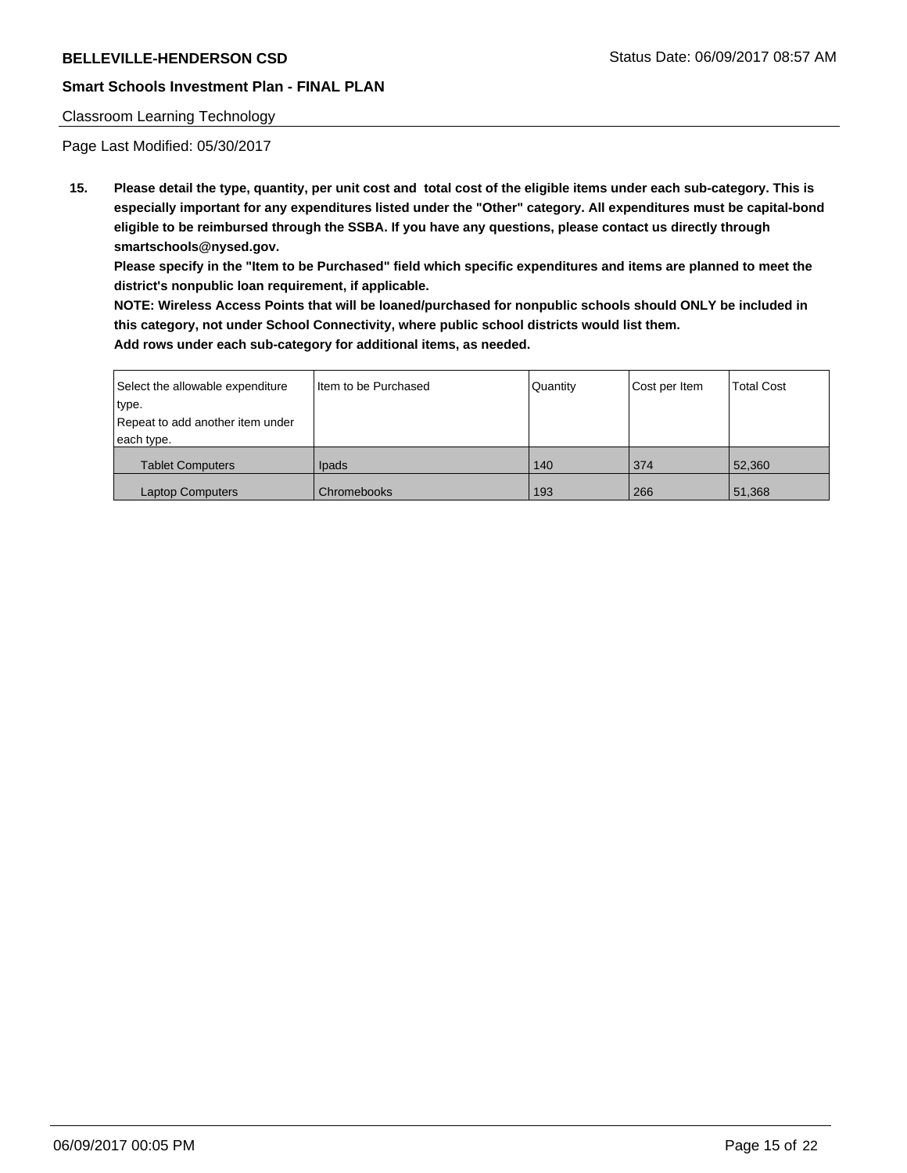#### Classroom Learning Technology

Page Last Modified: 05/30/2017

**15. Please detail the type, quantity, per unit cost and total cost of the eligible items under each sub-category. This is especially important for any expenditures listed under the "Other" category. All expenditures must be capital-bond eligible to be reimbursed through the SSBA. If you have any questions, please contact us directly through smartschools@nysed.gov.**

**Please specify in the "Item to be Purchased" field which specific expenditures and items are planned to meet the district's nonpublic loan requirement, if applicable.**

**NOTE: Wireless Access Points that will be loaned/purchased for nonpublic schools should ONLY be included in this category, not under School Connectivity, where public school districts would list them. Add rows under each sub-category for additional items, as needed.**

| Select the allowable expenditure | I Item to be Purchased | Quantity | Cost per Item | <b>Total Cost</b> |
|----------------------------------|------------------------|----------|---------------|-------------------|
| type.                            |                        |          |               |                   |
| Repeat to add another item under |                        |          |               |                   |
| each type.                       |                        |          |               |                   |
| <b>Tablet Computers</b>          | Ipads                  | 140      | 374           | 52,360            |
| <b>Laptop Computers</b>          | Chromebooks            | 193      | 266           | 51,368            |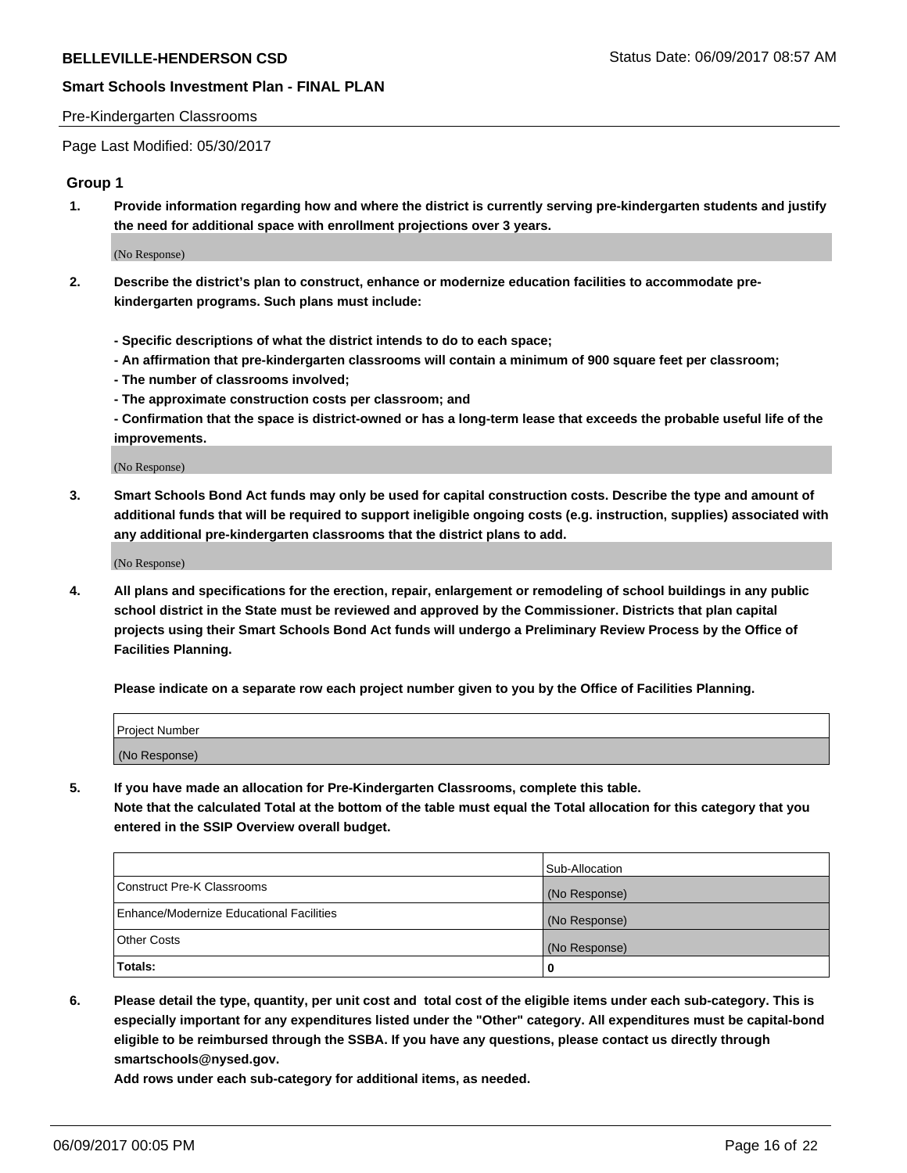#### Pre-Kindergarten Classrooms

Page Last Modified: 05/30/2017

#### **Group 1**

**1. Provide information regarding how and where the district is currently serving pre-kindergarten students and justify the need for additional space with enrollment projections over 3 years.**

(No Response)

- **2. Describe the district's plan to construct, enhance or modernize education facilities to accommodate prekindergarten programs. Such plans must include:**
	- **Specific descriptions of what the district intends to do to each space;**
	- **An affirmation that pre-kindergarten classrooms will contain a minimum of 900 square feet per classroom;**
	- **The number of classrooms involved;**
	- **The approximate construction costs per classroom; and**
	- **Confirmation that the space is district-owned or has a long-term lease that exceeds the probable useful life of the improvements.**

(No Response)

**3. Smart Schools Bond Act funds may only be used for capital construction costs. Describe the type and amount of additional funds that will be required to support ineligible ongoing costs (e.g. instruction, supplies) associated with any additional pre-kindergarten classrooms that the district plans to add.**

(No Response)

**4. All plans and specifications for the erection, repair, enlargement or remodeling of school buildings in any public school district in the State must be reviewed and approved by the Commissioner. Districts that plan capital projects using their Smart Schools Bond Act funds will undergo a Preliminary Review Process by the Office of Facilities Planning.**

**Please indicate on a separate row each project number given to you by the Office of Facilities Planning.**

| Project Number |  |
|----------------|--|
| (No Response)  |  |

**5. If you have made an allocation for Pre-Kindergarten Classrooms, complete this table. Note that the calculated Total at the bottom of the table must equal the Total allocation for this category that you entered in the SSIP Overview overall budget.**

|                                          | Sub-Allocation |
|------------------------------------------|----------------|
| Construct Pre-K Classrooms               | (No Response)  |
| Enhance/Modernize Educational Facilities | (No Response)  |
| Other Costs                              | (No Response)  |
| Totals:                                  | 0              |

**6. Please detail the type, quantity, per unit cost and total cost of the eligible items under each sub-category. This is especially important for any expenditures listed under the "Other" category. All expenditures must be capital-bond eligible to be reimbursed through the SSBA. If you have any questions, please contact us directly through smartschools@nysed.gov.**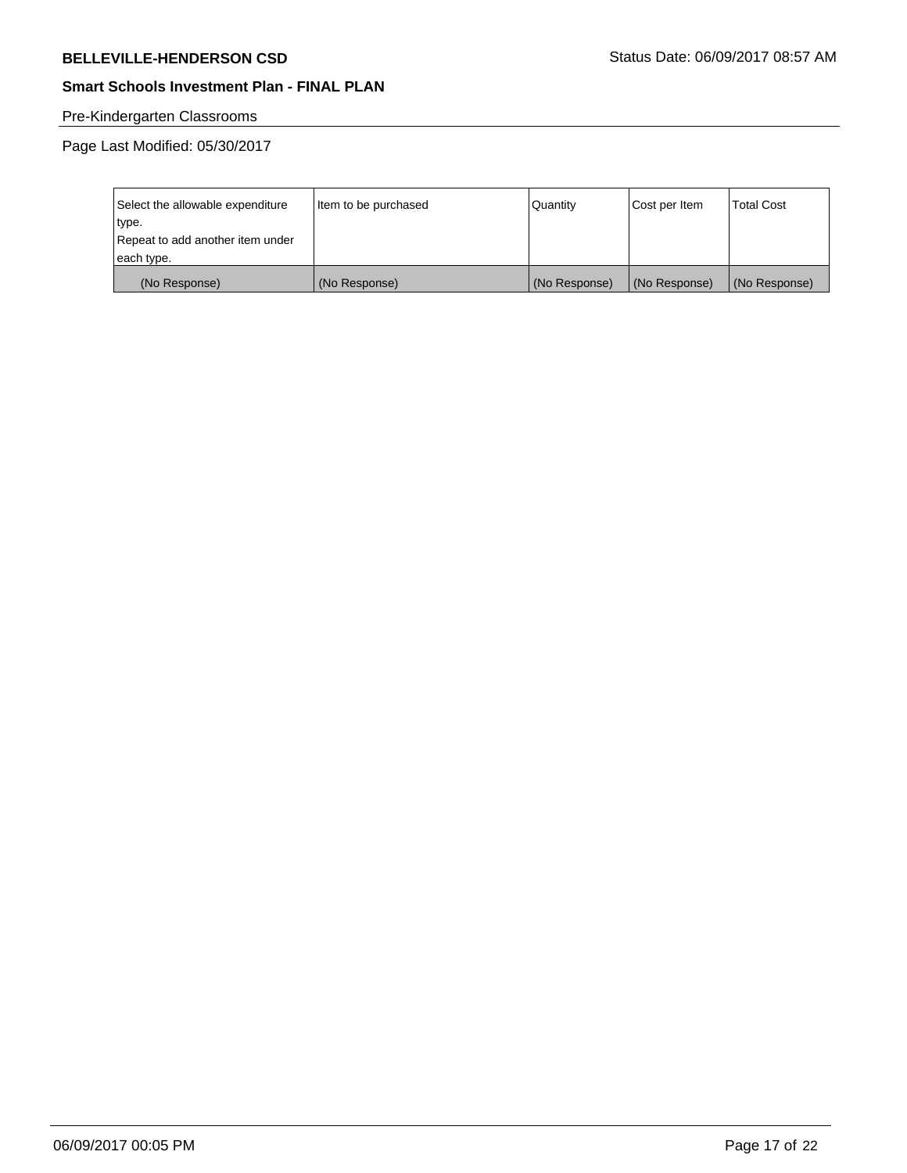# **BELLEVILLE-HENDERSON CSD** Status Date: 06/09/2017 08:57 AM

# **Smart Schools Investment Plan - FINAL PLAN**

# Pre-Kindergarten Classrooms

Page Last Modified: 05/30/2017

| Select the allowable expenditure | Item to be purchased | Quantity      | Cost per Item | <b>Total Cost</b> |
|----------------------------------|----------------------|---------------|---------------|-------------------|
| type.                            |                      |               |               |                   |
| Repeat to add another item under |                      |               |               |                   |
| each type.                       |                      |               |               |                   |
| (No Response)                    | (No Response)        | (No Response) | (No Response) | (No Response)     |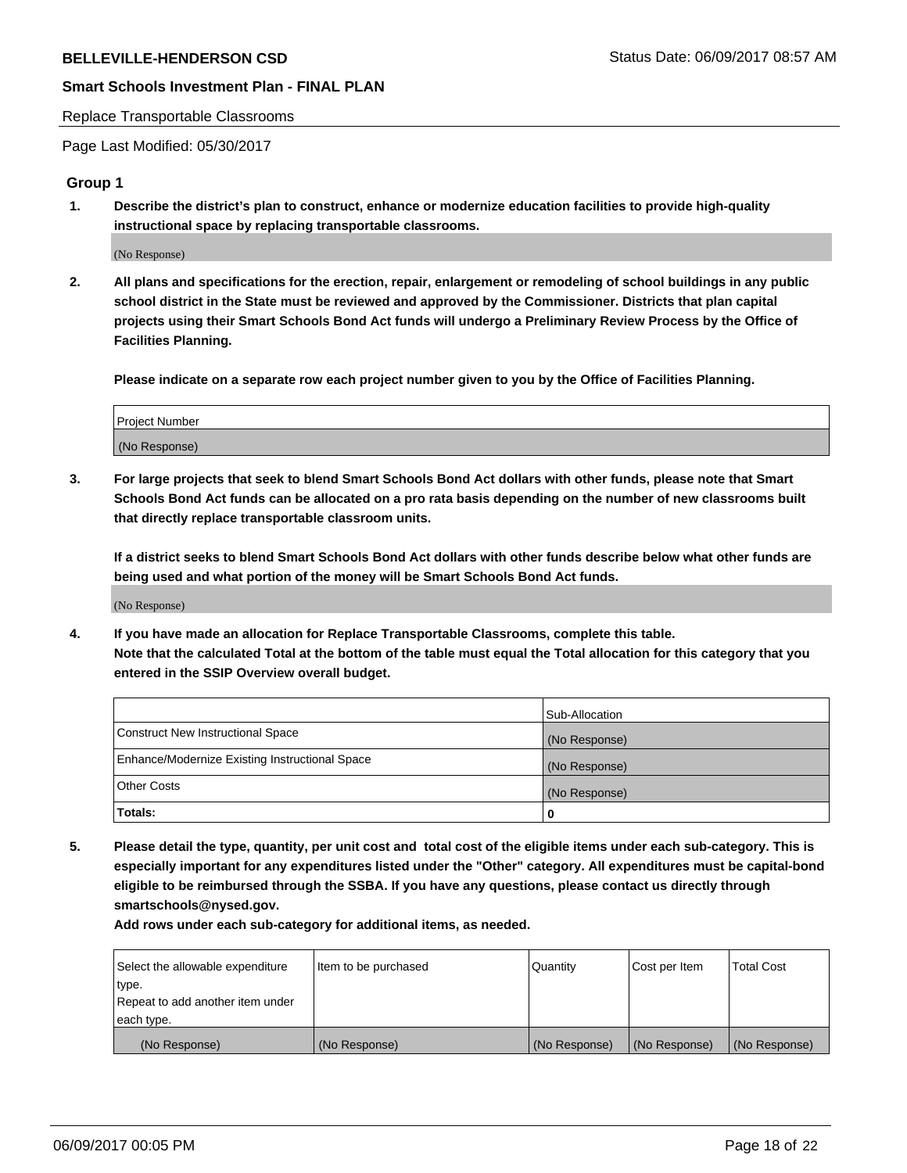#### Replace Transportable Classrooms

Page Last Modified: 05/30/2017

#### **Group 1**

**1. Describe the district's plan to construct, enhance or modernize education facilities to provide high-quality instructional space by replacing transportable classrooms.**

(No Response)

**2. All plans and specifications for the erection, repair, enlargement or remodeling of school buildings in any public school district in the State must be reviewed and approved by the Commissioner. Districts that plan capital projects using their Smart Schools Bond Act funds will undergo a Preliminary Review Process by the Office of Facilities Planning.**

**Please indicate on a separate row each project number given to you by the Office of Facilities Planning.**

| Project Number |  |
|----------------|--|
| (No Response)  |  |

**3. For large projects that seek to blend Smart Schools Bond Act dollars with other funds, please note that Smart Schools Bond Act funds can be allocated on a pro rata basis depending on the number of new classrooms built that directly replace transportable classroom units.**

**If a district seeks to blend Smart Schools Bond Act dollars with other funds describe below what other funds are being used and what portion of the money will be Smart Schools Bond Act funds.**

(No Response)

**4. If you have made an allocation for Replace Transportable Classrooms, complete this table. Note that the calculated Total at the bottom of the table must equal the Total allocation for this category that you entered in the SSIP Overview overall budget.**

|                                                | Sub-Allocation |
|------------------------------------------------|----------------|
| Construct New Instructional Space              | (No Response)  |
| Enhance/Modernize Existing Instructional Space | (No Response)  |
| Other Costs                                    | (No Response)  |
| Totals:                                        | $\Omega$       |

**5. Please detail the type, quantity, per unit cost and total cost of the eligible items under each sub-category. This is especially important for any expenditures listed under the "Other" category. All expenditures must be capital-bond eligible to be reimbursed through the SSBA. If you have any questions, please contact us directly through smartschools@nysed.gov.**

| Select the allowable expenditure | Item to be purchased | Quantity      | Cost per Item | <b>Total Cost</b> |
|----------------------------------|----------------------|---------------|---------------|-------------------|
| 'type.                           |                      |               |               |                   |
| Repeat to add another item under |                      |               |               |                   |
| each type.                       |                      |               |               |                   |
| (No Response)                    | (No Response)        | (No Response) | (No Response) | (No Response)     |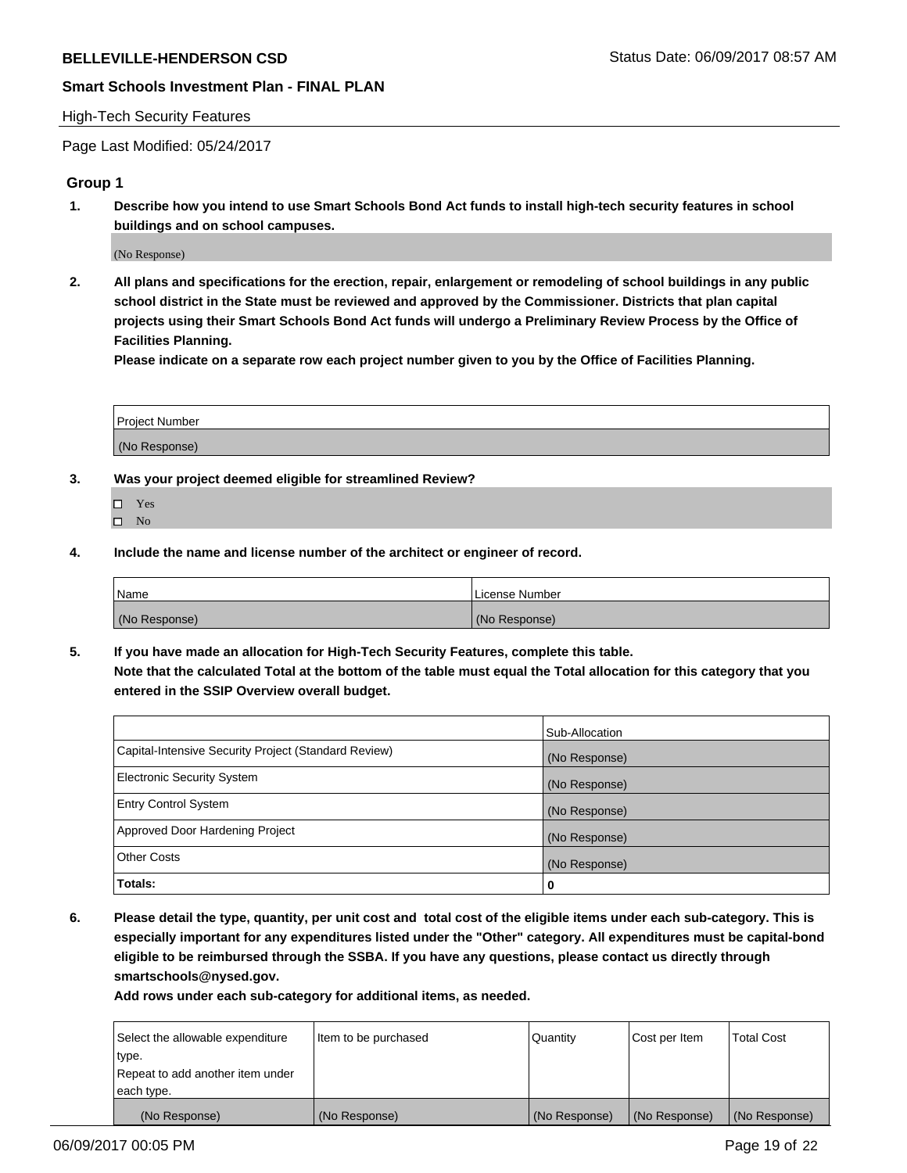#### High-Tech Security Features

Page Last Modified: 05/24/2017

#### **Group 1**

**1. Describe how you intend to use Smart Schools Bond Act funds to install high-tech security features in school buildings and on school campuses.**

(No Response)

**2. All plans and specifications for the erection, repair, enlargement or remodeling of school buildings in any public school district in the State must be reviewed and approved by the Commissioner. Districts that plan capital projects using their Smart Schools Bond Act funds will undergo a Preliminary Review Process by the Office of Facilities Planning.** 

**Please indicate on a separate row each project number given to you by the Office of Facilities Planning.**

| Project Number |  |
|----------------|--|
|                |  |
|                |  |
|                |  |
| (No Response)  |  |
|                |  |

- **3. Was your project deemed eligible for streamlined Review?**
	- Yes  $\hfill \square$  No
- **4. Include the name and license number of the architect or engineer of record.**

| <b>Name</b>   | License Number |
|---------------|----------------|
| (No Response) | (No Response)  |

**5. If you have made an allocation for High-Tech Security Features, complete this table. Note that the calculated Total at the bottom of the table must equal the Total allocation for this category that you entered in the SSIP Overview overall budget.**

|                                                      | Sub-Allocation |
|------------------------------------------------------|----------------|
| Capital-Intensive Security Project (Standard Review) | (No Response)  |
| <b>Electronic Security System</b>                    | (No Response)  |
| <b>Entry Control System</b>                          | (No Response)  |
| Approved Door Hardening Project                      | (No Response)  |
| <b>Other Costs</b>                                   | (No Response)  |
| Totals:                                              | 0              |

**6. Please detail the type, quantity, per unit cost and total cost of the eligible items under each sub-category. This is especially important for any expenditures listed under the "Other" category. All expenditures must be capital-bond eligible to be reimbursed through the SSBA. If you have any questions, please contact us directly through smartschools@nysed.gov.**

| (No Response)                    | (No Response)        | (No Response)   | (No Response) | (No Response)     |
|----------------------------------|----------------------|-----------------|---------------|-------------------|
| each type.                       |                      |                 |               |                   |
| Repeat to add another item under |                      |                 |               |                   |
| type.                            |                      |                 |               |                   |
| Select the allowable expenditure | Item to be purchased | <b>Quantity</b> | Cost per Item | <b>Total Cost</b> |
|                                  |                      |                 |               |                   |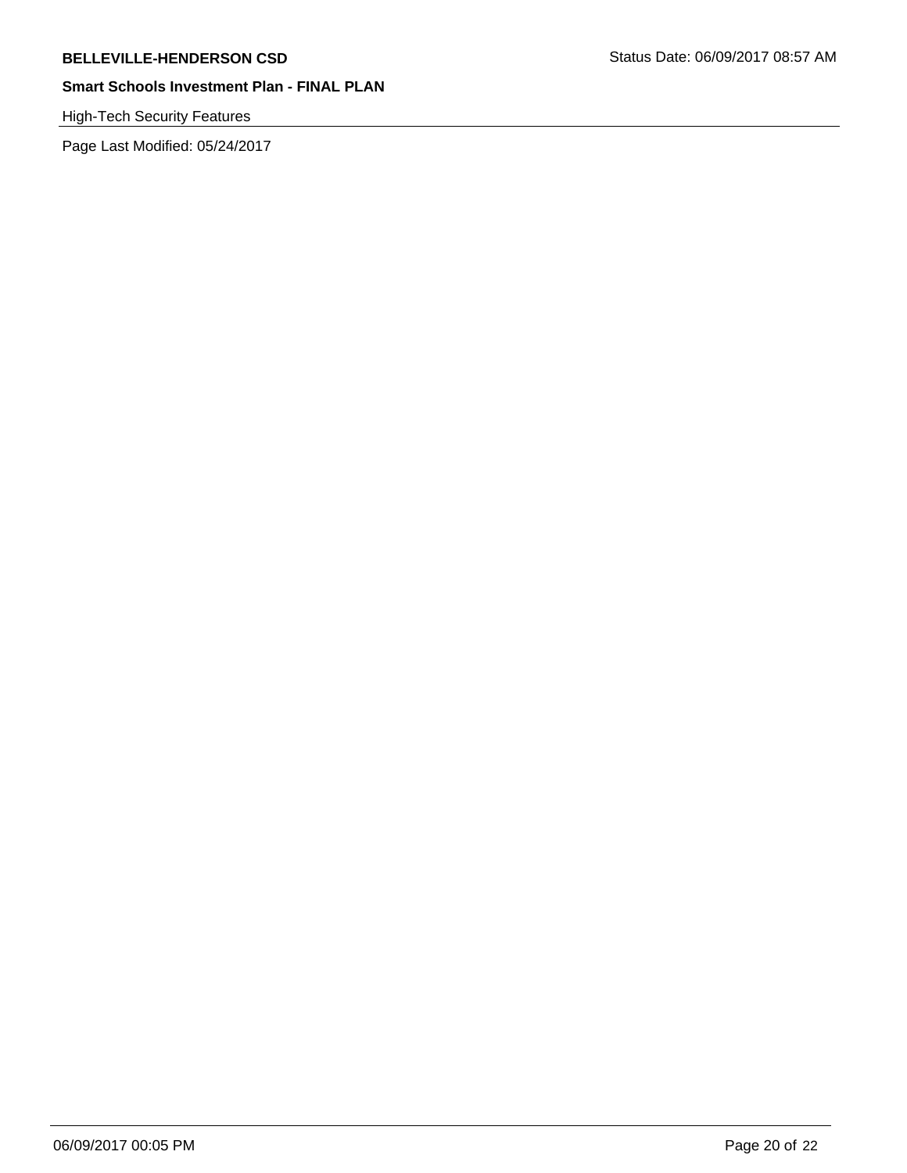# High-Tech Security Features

Page Last Modified: 05/24/2017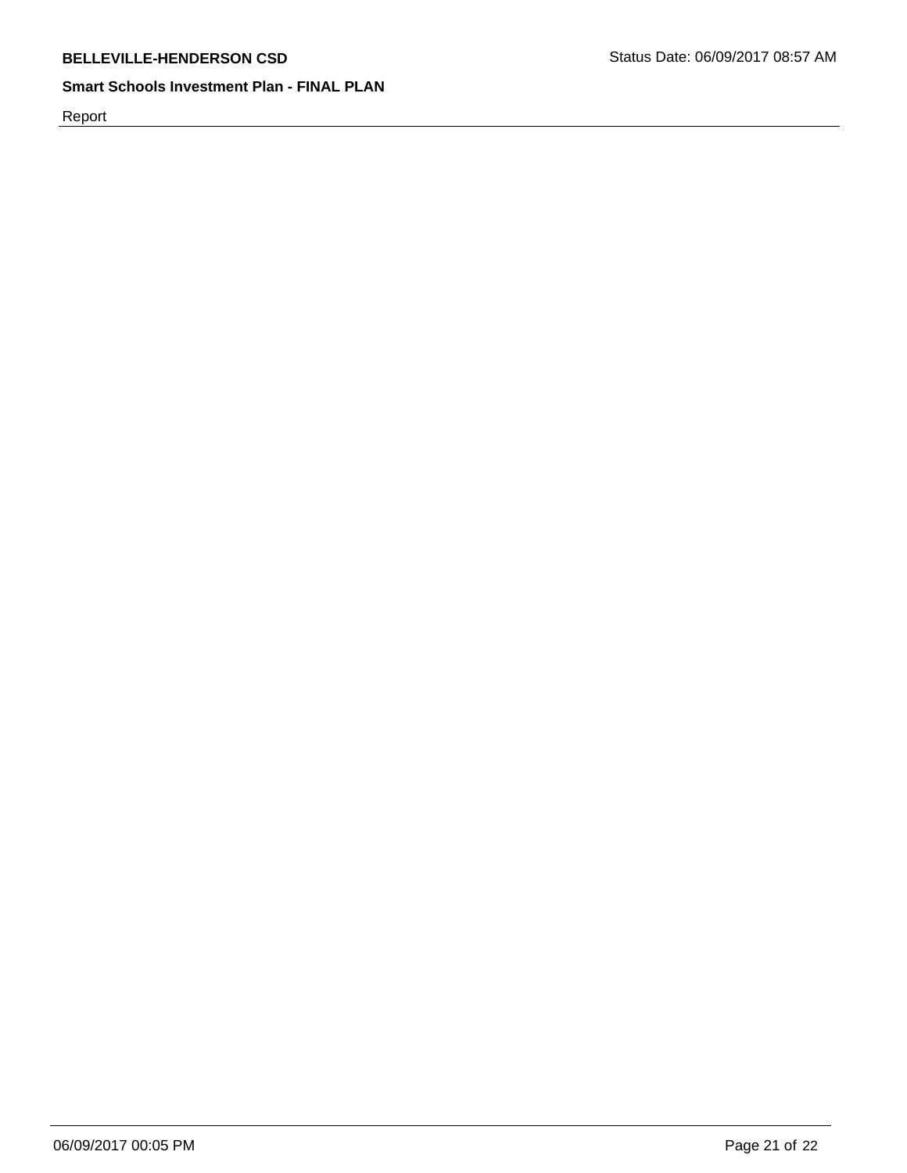Report